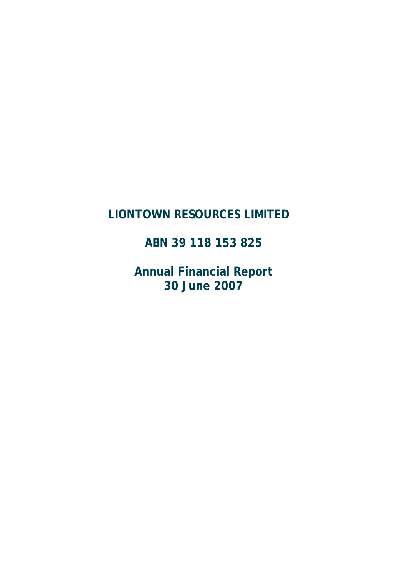# **LIONTOWN RESOURCES LIMITED**

**ABN 39 118 153 825** 

**Annual Financial Report 30 June 2007**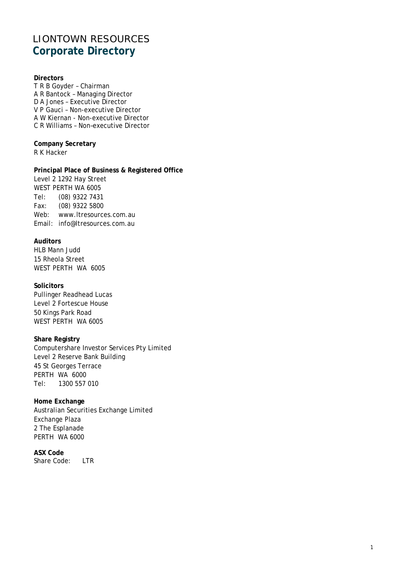# LIONTOWN RESOURCES **Corporate Directory**

### **Directors**

T R B Goyder – Chairman A R Bantock – Managing Director D A Jones – Executive Director V P Gauci – Non-executive Director A W Kiernan - Non-executive Director C R Williams – Non–executive Director

**Company Secretary** R K Hacker

**Principal Place of Business & Registered Office**  Level 2 1292 Hay Street WEST PERTH WA 6005 Tel: (08) 9322 7431 Fax: (08) 9322 5800 Web: www.ltresources.com.au Email: info@ltresources.com.au

### **Auditors**

HLB Mann Judd 15 Rheola Street WEST PERTH WA 6005

**Solicitors**  Pullinger Readhead Lucas Level 2 Fortescue House 50 Kings Park Road WEST PERTH WA 6005

### **Share Registry**

Computershare Investor Services Pty Limited Level 2 Reserve Bank Building 45 St Georges Terrace PERTH WA 6000 Tel: 1300 557 010

**Home Exchange**  Australian Securities Exchange Limited Exchange Plaza 2 The Esplanade PERTH WA 6000

**ASX Code**  Share Code: LTR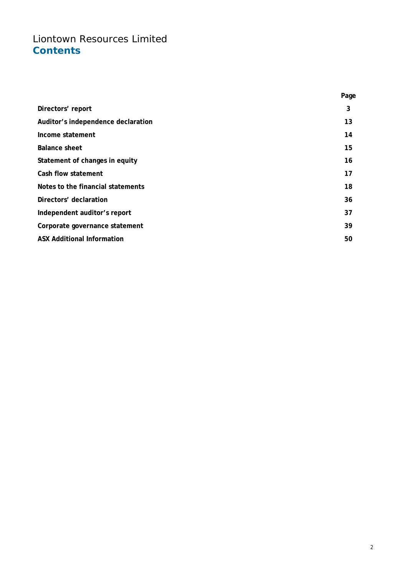# Liontown Resources Limited **Contents**

|                                    | Page |
|------------------------------------|------|
| Directors' report                  | 3    |
| Auditor's independence declaration | 13   |
| Income statement                   | 14   |
| <b>Balance sheet</b>               | 15   |
| Statement of changes in equity     | 16   |
| Cash flow statement                | 17   |
| Notes to the financial statements  | 18   |
| Directors' declaration             | 36   |
| Independent auditor's report       | 37   |
| Corporate governance statement     | 39   |
| <b>ASX Additional Information</b>  | 50   |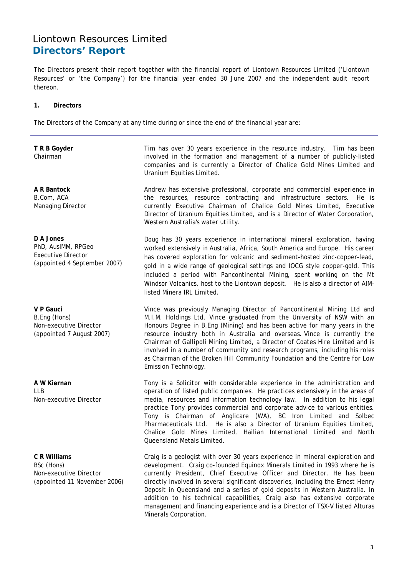The Directors present their report together with the financial report of Liontown Resources Limited ('Liontown Resources' or 'the Company') for the financial year ended 30 June 2007 and the independent audit report thereon.

### **1. Directors**

The Directors of the Company at any time during or since the end of the financial year are:

| T R B Goyder<br>Chairman                                                                     | Tim has over 30 years experience in the resource industry. Tim has been<br>involved in the formation and management of a number of publicly-listed<br>companies and is currently a Director of Chalice Gold Mines Limited and<br>Uranium Equities Limited.                                                                                                                                                                                                                                                                                                                            |
|----------------------------------------------------------------------------------------------|---------------------------------------------------------------------------------------------------------------------------------------------------------------------------------------------------------------------------------------------------------------------------------------------------------------------------------------------------------------------------------------------------------------------------------------------------------------------------------------------------------------------------------------------------------------------------------------|
| A R Bantock<br>B.Com, ACA<br>Managing Director                                               | Andrew has extensive professional, corporate and commercial experience in<br>the resources, resource contracting and infrastructure sectors.<br>He is<br>currently Executive Chairman of Chalice Gold Mines Limited, Executive<br>Director of Uranium Equities Limited, and is a Director of Water Corporation,<br>Western Australia's water utility.                                                                                                                                                                                                                                 |
| D A Jones<br>PhD, AusIMM, RPGeo<br><b>Executive Director</b><br>(appointed 4 September 2007) | Doug has 30 years experience in international mineral exploration, having<br>worked extensively in Australia, Africa, South America and Europe. His career<br>has covered exploration for volcanic and sediment-hosted zinc-copper-lead,<br>gold in a wide range of geological settings and IOCG style copper-gold. This<br>included a period with Pancontinental Mining, spent working on the Mt<br>Windsor Volcanics, host to the Liontown deposit. He is also a director of AIM-<br>listed Minera IRL Limited.                                                                     |
| V P Gauci<br>B.Eng (Hons)<br>Non-executive Director<br>(appointed 7 August 2007)             | Vince was previously Managing Director of Pancontinental Mining Ltd and<br>M.I.M. Holdings Ltd. Vince graduated from the University of NSW with an<br>Honours Degree in B. Eng (Mining) and has been active for many years in the<br>resource industry both in Australia and overseas. Vince is currently the<br>Chairman of Gallipoli Mining Limited, a Director of Coates Hire Limited and is<br>involved in a number of community and research programs, including his roles<br>as Chairman of the Broken Hill Community Foundation and the Centre for Low<br>Emission Technology. |
| A W Kiernan<br><b>LLB</b><br>Non-executive Director                                          | Tony is a Solicitor with considerable experience in the administration and<br>operation of listed public companies. He practices extensively in the areas of<br>media, resources and information technology law. In addition to his legal<br>practice Tony provides commercial and corporate advice to various entities.<br>Tony is Chairman of Anglicare (WA), BC Iron Limited and Solbec<br>Pharmaceuticals Ltd. He is also a Director of Uranium Equities Limited,<br>Chalice Gold Mines Limited, Hailian International Limited and North<br>Queensland Metals Limited.            |
| C R Williams<br>BSc (Hons)<br>Non-executive Director<br>(appointed 11 November 2006)         | Craig is a geologist with over 30 years experience in mineral exploration and<br>development. Craig co-founded Equinox Minerals Limited in 1993 where he is<br>currently President, Chief Executive Officer and Director. He has been<br>directly involved in several significant discoveries, including the Ernest Henry<br>Deposit in Queensland and a series of gold deposits in Western Australia. In<br>addition to his technical capabilities, Craig also has extensive corporate                                                                                               |

Minerals Corporation.

management and financing experience and is a Director of TSX-V listed Alturas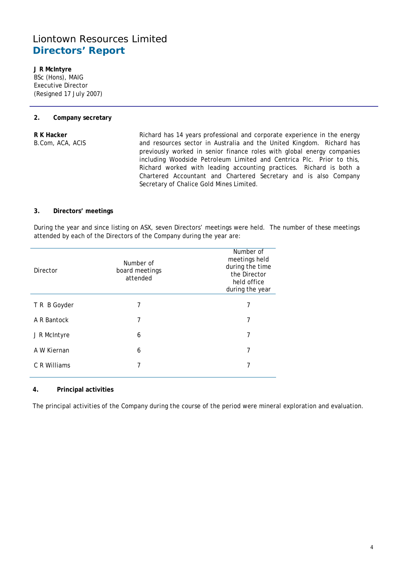**J R McIntyre**  BSc (Hons), MAIG Executive Director (Resigned 17 July 2007)

### **2. Company secretary**

**R K Hacker**  B.Com, ACA, ACIS Richard has 14 years professional and corporate experience in the energy and resources sector in Australia and the United Kingdom. Richard has previously worked in senior finance roles with global energy companies including Woodside Petroleum Limited and Centrica Plc. Prior to this, Richard worked with leading accounting practices. Richard is both a Chartered Accountant and Chartered Secretary and is also Company Secretary of Chalice Gold Mines Limited.

### **3. Directors' meetings**

During the year and since listing on ASX, seven Directors' meetings were held. The number of these meetings attended by each of the Directors of the Company during the year are:

| <b>Director</b> | Number of<br>board meetings<br>attended | Number of<br>meetings held<br>during the time<br>the Director<br>held office<br>during the year |
|-----------------|-----------------------------------------|-------------------------------------------------------------------------------------------------|
| T R B Goyder    | 7                                       | 7                                                                                               |
| A R Bantock     | 7                                       | 7                                                                                               |
| J R McIntyre    | 6                                       | 7                                                                                               |
| A W Kiernan     | 6                                       | 7                                                                                               |
| C R Williams    | 7                                       | 7                                                                                               |
|                 |                                         |                                                                                                 |

### **4. Principal activities**

The principal activities of the Company during the course of the period were mineral exploration and evaluation.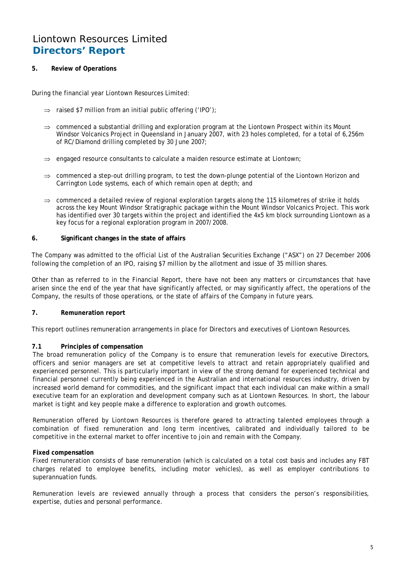### **5. Review of Operations**

During the financial year Liontown Resources Limited:

- ⇒ raised \$7 million from an initial public offering ('IPO');
- ⇒ commenced a substantial drilling and exploration program at the Liontown Prospect within its Mount Windsor Volcanics Project in Queensland in January 2007, with 23 holes completed, for a total of 6,256m of RC/Diamond drilling completed by 30 June 2007;
- ⇒ engaged resource consultants to calculate a maiden resource estimate at Liontown;
- ⇒ commenced a step-out drilling program, to test the down-plunge potential of the Liontown Horizon and Carrington Lode systems, each of which remain open at depth; and
- $\Rightarrow$  commenced a detailed review of regional exploration targets along the 115 kilometres of strike it holds across the key Mount Windsor Stratigraphic package within the Mount Windsor Volcanics Project. This work has identified over 30 targets within the project and identified the 4x5 km block surrounding Liontown as a key focus for a regional exploration program in 2007/2008.

### **6. Significant changes in the state of affairs**

The Company was admitted to the official List of the Australian Securities Exchange ("ASX") on 27 December 2006 following the completion of an IPO, raising \$7 million by the allotment and issue of 35 million shares.

Other than as referred to in the Financial Report, there have not been any matters or circumstances that have arisen since the end of the year that have significantly affected, or may significantly affect, the operations of the Company, the results of those operations, or the state of affairs of the Company in future years.

### **7. Remuneration report**

This report outlines remuneration arrangements in place for Directors and executives of Liontown Resources.

### **7.1 Principles of compensation**

The broad remuneration policy of the Company is to ensure that remuneration levels for executive Directors, officers and senior managers are set at competitive levels to attract and retain appropriately qualified and experienced personnel. This is particularly important in view of the strong demand for experienced technical and financial personnel currently being experienced in the Australian and international resources industry, driven by increased world demand for commodities, and the significant impact that each individual can make within a small executive team for an exploration and development company such as at Liontown Resources. In short, the labour market is tight and key people make a difference to exploration and growth outcomes.

Remuneration offered by Liontown Resources is therefore geared to attracting talented employees through a combination of fixed remuneration and long term incentives, calibrated and individually tailored to be competitive in the external market to offer incentive to join and remain with the Company.

### **Fixed compensation**

Fixed remuneration consists of base remuneration (which is calculated on a total cost basis and includes any FBT charges related to employee benefits, including motor vehicles), as well as employer contributions to superannuation funds.

Remuneration levels are reviewed annually through a process that considers the person's responsibilities, expertise, duties and personal performance.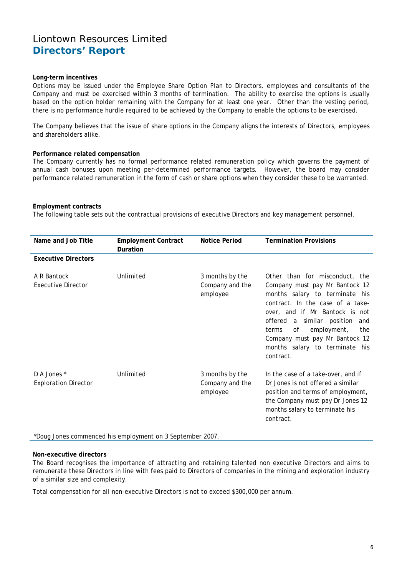#### **Long-term incentives**

Options may be issued under the Employee Share Option Plan to Directors, employees and consultants of the Company and must be exercised within 3 months of termination. The ability to exercise the options is usually based on the option holder remaining with the Company for at least one year. Other than the vesting period, there is no performance hurdle required to be achieved by the Company to enable the options to be exercised.

The Company believes that the issue of share options in the Company aligns the interests of Directors, employees and shareholders alike.

### **Performance related compensation**

The Company currently has no formal performance related remuneration policy which governs the payment of annual cash bonuses upon meeting per-determined performance targets. However, the board may consider performance related remuneration in the form of cash or share options when they consider these to be warranted.

#### **Employment contracts**

The following table sets out the contractual provisions of executive Directors and key management personnel.

| Name and Job Title                         | <b>Employment Contract</b><br>Duration | Notice Period                                  | <b>Termination Provisions</b>                                                                                                                                                                                                                                                                                                       |
|--------------------------------------------|----------------------------------------|------------------------------------------------|-------------------------------------------------------------------------------------------------------------------------------------------------------------------------------------------------------------------------------------------------------------------------------------------------------------------------------------|
| <b>Executive Directors</b>                 |                                        |                                                |                                                                                                                                                                                                                                                                                                                                     |
| A R Bantock<br><b>Executive Director</b>   | Unlimited                              | 3 months by the<br>Company and the<br>employee | Other than for misconduct, the<br>Company must pay Mr Bantock 12<br>months salary to terminate his<br>contract. In the case of a take-<br>over, and if Mr Bantock is not<br>offered a similar position<br>and<br>employment,<br>of<br>terms<br>the<br>Company must pay Mr Bantock 12<br>months salary to terminate his<br>contract. |
| D A Jones *<br><b>Exploration Director</b> | Unlimited                              | 3 months by the<br>Company and the<br>employee | In the case of a take-over, and if<br>Dr Jones is not offered a similar<br>position and terms of employment,<br>the Company must pay Dr Jones 12<br>months salary to terminate his<br>contract.                                                                                                                                     |

\*Doug Jones commenced his employment on 3 September 2007.

#### **Non-executive directors**

The Board recognises the importance of attracting and retaining talented non executive Directors and aims to remunerate these Directors in line with fees paid to Directors of companies in the mining and exploration industry of a similar size and complexity.

Total compensation for all non-executive Directors is not to exceed \$300,000 per annum.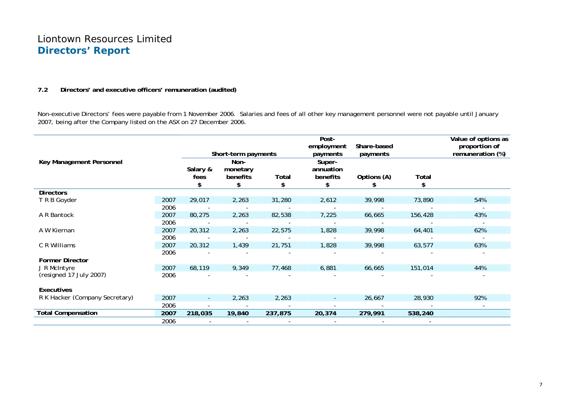### **7.2 Directors' and executive officers' remuneration (audited)**

Non-executive Directors' fees were payable from 1 November 2006. Salaries and fees of all other key management personnel were not payable until January 2007, being after the Company listed on the ASX on 27 December 2006.

|                                |      |                        | Short-term payments                |             | Post-<br>employment<br>payments       | Share-based<br>payments |             | Value of options as<br>proportion of<br>remuneration (%) |
|--------------------------------|------|------------------------|------------------------------------|-------------|---------------------------------------|-------------------------|-------------|----------------------------------------------------------|
| Key Management Personnel       |      | Salary &<br>fees<br>\$ | Non-<br>monetary<br>benefits<br>\$ | Total<br>\$ | Super-<br>annuation<br>benefits<br>\$ | Options (A)<br>S        | Total<br>\$ |                                                          |
| <b>Directors</b>               |      |                        |                                    |             |                                       |                         |             |                                                          |
| T R B Goyder                   | 2007 | 29,017                 | 2,263                              | 31,280      | 2,612                                 | 39,998                  | 73,890      | 54%                                                      |
|                                | 2006 |                        |                                    |             |                                       |                         |             |                                                          |
| A R Bantock                    | 2007 | 80,275                 | 2,263                              | 82,538      | 7,225                                 | 66,665                  | 156,428     | 43%                                                      |
|                                | 2006 |                        |                                    |             |                                       |                         |             |                                                          |
| A W Kiernan                    | 2007 | 20,312                 | 2,263                              | 22,575      | 1,828                                 | 39,998                  | 64,401      | 62%                                                      |
|                                | 2006 |                        |                                    |             |                                       |                         |             |                                                          |
| C R Williams                   | 2007 | 20,312                 | 1,439                              | 21,751      | 1,828                                 | 39,998                  | 63,577      | 63%                                                      |
|                                | 2006 |                        |                                    |             |                                       |                         |             |                                                          |
| <b>Former Director</b>         |      |                        |                                    |             |                                       |                         |             |                                                          |
| J R McIntyre                   | 2007 | 68,119                 | 9,349                              | 77,468      | 6,881                                 | 66,665                  | 151,014     | 44%                                                      |
| (resigned 17 July 2007)        | 2006 |                        |                                    |             |                                       |                         |             |                                                          |
| Executives                     |      |                        |                                    |             |                                       |                         |             |                                                          |
| R K Hacker (Company Secretary) | 2007 | $\sim$                 | 2,263                              | 2,263       | $\sim$                                | 26,667                  | 28,930      | 92%                                                      |
|                                | 2006 |                        |                                    |             |                                       |                         |             |                                                          |
| <b>Total Compensation</b>      | 2007 | 218,035                | 19,840                             | 237,875     | 20,374                                | 279,991                 | 538,240     |                                                          |
|                                | 2006 |                        |                                    |             |                                       |                         |             |                                                          |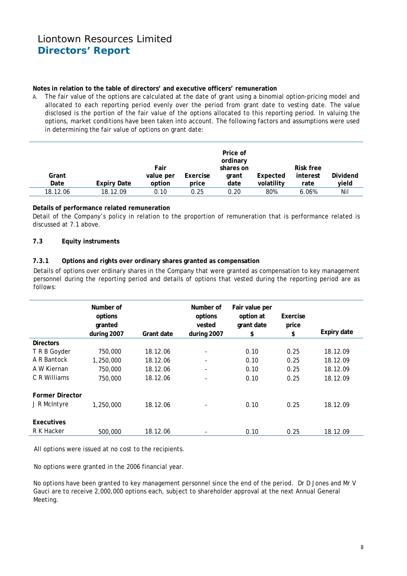### **Notes in relation to the table of directors' and executive officers' remuneration**

A. The fair value of the options are calculated at the date of grant using a binomial option-pricing model and allocated to each reporting period evenly over the period from grant date to vesting date. The value disclosed is the portion of the fair value of the options allocated to this reporting period. In valuing the options, market conditions have been taken into account. The following factors and assumptions were used in determining the fair value of options on grant date:

|               |                    | Fair                |                   | Price of<br>ordinary<br>shares on |                        | Risk free        |                   |
|---------------|--------------------|---------------------|-------------------|-----------------------------------|------------------------|------------------|-------------------|
| Grant<br>Date | <b>Expiry Date</b> | value per<br>option | Exercise<br>price | grant<br>date                     | Expected<br>volatility | interest<br>rate | Dividend<br>yield |
|               |                    |                     |                   |                                   |                        |                  |                   |
| 18.12.06      | 18.12.09           | 0.10                | 0.25              | 0.20                              | 80%                    | 6.06%            | Nil               |

### **Details of performance related remuneration**

Detail of the Company's policy in relation to the proportion of remuneration that is performance related is discussed at 7.1 above.

### **7.3 Equity instruments**

### **7.3.1 Options and rights over ordinary shares granted as compensation**

Details of options over ordinary shares in the Company that were granted as compensation to key management personnel during the reporting period and details of options that vested during the reporting period are as follows:

|                        | Number of<br>options<br>granted<br>during 2007 | Grant date | Number of<br>options<br>vested<br>during 2007 | Fair value per<br>option at<br>grant date<br>\$ | Exercise<br>price<br>\$ | Expiry date |
|------------------------|------------------------------------------------|------------|-----------------------------------------------|-------------------------------------------------|-------------------------|-------------|
| <b>Directors</b>       |                                                |            |                                               |                                                 |                         |             |
| T R B Goyder           | 750,000                                        | 18.12.06   | -                                             | 0.10                                            | 0.25                    | 18.12.09    |
| A R Bantock            | 1,250,000                                      | 18.12.06   | $\overline{\phantom{0}}$                      | 0.10                                            | 0.25                    | 18.12.09    |
| A W Kiernan            | 750,000                                        | 18.12.06   | $\overline{\phantom{a}}$                      | 0.10                                            | 0.25                    | 18.12.09    |
| C R Williams           | 750,000                                        | 18.12.06   | $\overline{\phantom{0}}$                      | 0.10                                            | 0.25                    | 18.12.09    |
| <b>Former Director</b> |                                                |            |                                               |                                                 |                         |             |
| J R McIntyre           | 1,250,000                                      | 18.12.06   |                                               | 0.10                                            | 0.25                    | 18.12.09    |
| Executives             |                                                |            |                                               |                                                 |                         |             |
| R K Hacker             | 500,000                                        | 18.12.06   | $\overline{\phantom{0}}$                      | 0.10                                            | 0.25                    | 18.12.09    |

All options were issued at no cost to the recipients.

No options were granted in the 2006 financial year.

No options have been granted to key management personnel since the end of the period. Dr D Jones and Mr V Gauci are to receive 2,000,000 options each, subject to shareholder approval at the next Annual General Meeting.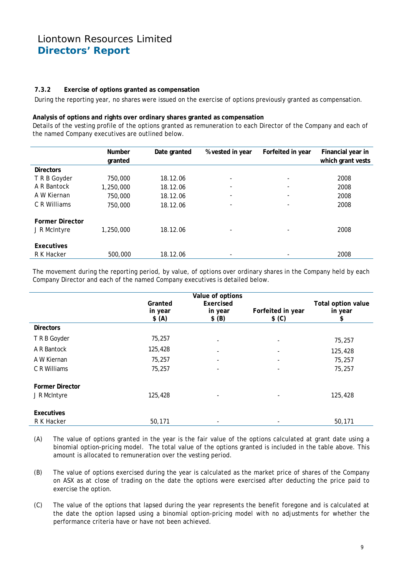### **7.3.2 Exercise of options granted as compensation**

During the reporting year, no shares were issued on the exercise of options previously granted as compensation.

#### **Analysis of options and rights over ordinary shares granted as compensation**

Details of the vesting profile of the options granted as remuneration to each Director of the Company and each of the named Company executives are outlined below.

|                        | <b>Number</b><br>granted | Date granted | % vested in year         | Forfeited in year        | Financial year in<br>which grant vests |
|------------------------|--------------------------|--------------|--------------------------|--------------------------|----------------------------------------|
| <b>Directors</b>       |                          |              |                          |                          |                                        |
| T R B Goyder           | 750,000                  | 18.12.06     |                          |                          | 2008                                   |
| A R Bantock            | 1,250,000                | 18.12.06     |                          |                          | 2008                                   |
| A W Kiernan            | 750,000                  | 18.12.06     |                          | $\overline{\phantom{a}}$ | 2008                                   |
| C R Williams           | 750,000                  | 18.12.06     | $\overline{\phantom{0}}$ | $\overline{\phantom{a}}$ | 2008                                   |
| <b>Former Director</b> |                          |              |                          |                          |                                        |
| J R McIntyre           | 1,250,000                | 18.12.06     |                          |                          | 2008                                   |
| Executives             |                          |              |                          |                          |                                        |
| R K Hacker             | 500,000                  | 18.12.06     |                          |                          | 2008                                   |

The movement during the reporting period, by value, of options over ordinary shares in the Company held by each Company Director and each of the named Company executives is detailed below.

|                        | Granted<br>in year<br>\$ (A) | Value of options<br>Exercised<br>in year<br>\$ (B) | Forfeited in year<br>\$ (C) | Total option value<br>in year<br>\$ |
|------------------------|------------------------------|----------------------------------------------------|-----------------------------|-------------------------------------|
| <b>Directors</b>       |                              |                                                    |                             |                                     |
| T R B Goyder           | 75,257                       |                                                    |                             | 75,257                              |
| A R Bantock            | 125,428                      |                                                    |                             | 125,428                             |
| A W Kiernan            | 75,257                       | $\overline{\phantom{a}}$                           |                             | 75,257                              |
| C R Williams           | 75,257                       |                                                    |                             | 75,257                              |
| <b>Former Director</b> |                              |                                                    |                             |                                     |
| J R McIntyre           | 125,428                      |                                                    |                             | 125,428                             |
| Executives             |                              |                                                    |                             |                                     |
| R K Hacker             | 50,171                       | -                                                  |                             | 50,171                              |

- (A) The value of options granted in the year is the fair value of the options calculated at grant date using a binomial option-pricing model. The total value of the options granted is included in the table above. This amount is allocated to remuneration over the vesting period.
- (B) The value of options exercised during the year is calculated as the market price of shares of the Company on ASX as at close of trading on the date the options were exercised after deducting the price paid to exercise the option.
- (C) The value of the options that lapsed during the year represents the benefit foregone and is calculated at the date the option lapsed using a binomial option-pricing model with no adjustments for whether the performance criteria have or have not been achieved.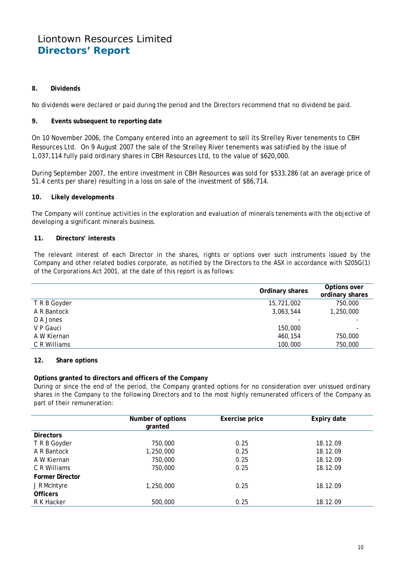### **8. Dividends**

No dividends were declared or paid during the period and the Directors recommend that no dividend be paid.

### **9. Events subsequent to reporting date**

On 10 November 2006, the Company entered into an agreement to sell its Strelley River tenements to CBH Resources Ltd. On 9 August 2007 the sale of the Strelley River tenements was satisfied by the issue of 1,037,114 fully paid ordinary shares in CBH Resources Ltd, to the value of \$620,000.

During September 2007, the entire investment in CBH Resources was sold for \$533,286 (at an average price of 51.4 cents per share) resulting in a loss on sale of the investment of \$86,714.

### **10. Likely developments**

The Company will continue activities in the exploration and evaluation of minerals tenements with the objective of developing a significant minerals business.

### **11. Directors' interests**

The relevant interest of each Director in the shares, rights or options over such instruments issued by the Company and other related bodies corporate, as notified by the Directors to the ASX in accordance with S205G(1) of the Corporations Act 2001, at the date of this report is as follows:

|              | Ordinary shares | Options over<br>ordinary shares |
|--------------|-----------------|---------------------------------|
| T R B Goyder | 15,721,002      | 750,000                         |
| A R Bantock  | 3,063,544       | 1,250,000                       |
| D A Jones    |                 |                                 |
| V P Gauci    | 150,000         |                                 |
| A W Kiernan  | 460,154         | 750,000                         |
| C R Williams | 100,000         | 750,000                         |

### **12. Share options**

### **Options granted to directors and officers of the Company**

During or since the end of the period, the Company granted options for no consideration over unissued ordinary shares in the Company to the following Directors and to the most highly remunerated officers of the Company as part of their remuneration:

|                        | Number of options<br>granted | Exercise price | Expiry date |
|------------------------|------------------------------|----------------|-------------|
| <b>Directors</b>       |                              |                |             |
| T R B Goyder           | 750,000                      | 0.25           | 18.12.09    |
| A R Bantock            | 1,250,000                    | 0.25           | 18.12.09    |
| A W Kiernan            | 750,000                      | 0.25           | 18.12.09    |
| C R Williams           | 750,000                      | 0.25           | 18.12.09    |
| <b>Former Director</b> |                              |                |             |
| J R McIntyre           | 1,250,000                    | 0.25           | 18.12.09    |
| <b>Officers</b>        |                              |                |             |
| R K Hacker             | 500,000                      | 0.25           | 18.12.09    |
|                        |                              |                |             |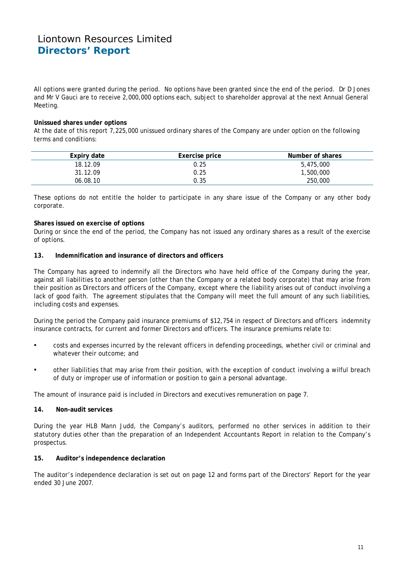All options were granted during the period. No options have been granted since the end of the period. Dr D Jones and Mr V Gauci are to receive 2,000,000 options each, subject to shareholder approval at the next Annual General Meeting.

### **Unissued shares under options**

At the date of this report 7,225,000 unissued ordinary shares of the Company are under option on the following terms and conditions:

| Expiry date | Exercise price | Number of shares |
|-------------|----------------|------------------|
| 18.12.09    | 0.25           | 5,475,000        |
| 31.12.09    | 0.25           | 1,500,000        |
| 06.08.10    | 0.35           | 250,000          |
|             |                |                  |

These options do not entitle the holder to participate in any share issue of the Company or any other body corporate.

### **Shares issued on exercise of options**

During or since the end of the period, the Company has not issued any ordinary shares as a result of the exercise of options.

### **13. Indemnification and insurance of directors and officers**

The Company has agreed to indemnify all the Directors who have held office of the Company during the year, against all liabilities to another person (other than the Company or a related body corporate) that may arise from their position as Directors and officers of the Company, except where the liability arises out of conduct involving a lack of good faith. The agreement stipulates that the Company will meet the full amount of any such liabilities. including costs and expenses.

During the period the Company paid insurance premiums of \$12,754 in respect of Directors and officers indemnity insurance contracts, for current and former Directors and officers. The insurance premiums relate to:

- costs and expenses incurred by the relevant officers in defending proceedings, whether civil or criminal and whatever their outcome; and
- other liabilities that may arise from their position, with the exception of conduct involving a wilful breach of duty or improper use of information or position to gain a personal advantage.

The amount of insurance paid is included in Directors and executives remuneration on page 7.

### **14. Non-audit services**

During the year HLB Mann Judd, the Company's auditors, performed no other services in addition to their statutory duties other than the preparation of an Independent Accountants Report in relation to the Company's prospectus.

### **15. Auditor's independence declaration**

The auditor's independence declaration is set out on page 12 and forms part of the Directors' Report for the year ended 30 June 2007.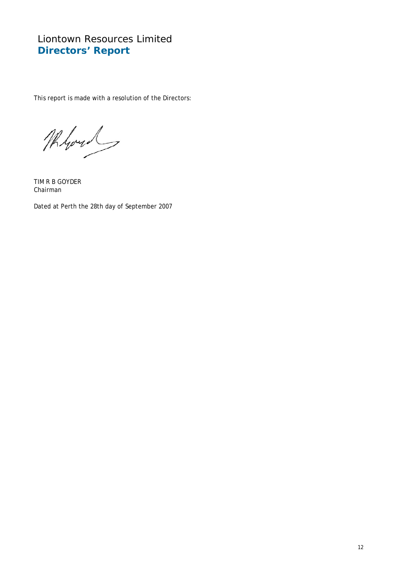This report is made with a resolution of the Directors:

Whout

TIM R B GOYDER Chairman

Dated at Perth the 28th day of September 2007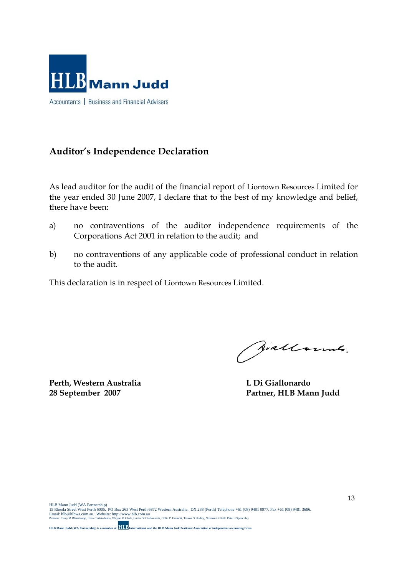

# **Auditor's Independence Declaration**

As lead auditor for the audit of the financial report of Liontown Resources Limited for the year ended 30 June 2007, I declare that to the best of my knowledge and belief, there have been:

- a) no contraventions of the auditor independence requirements of the Corporations Act 2001 in relation to the audit; and
- b) no contraventions of any applicable code of professional conduct in relation to the audit.

This declaration is in respect of Liontown Resources Limited.

**Perth, Western Australia L Di Giallonardo** 

Siallounes.

**28 September 2007 Partner, HLB Mann Judd**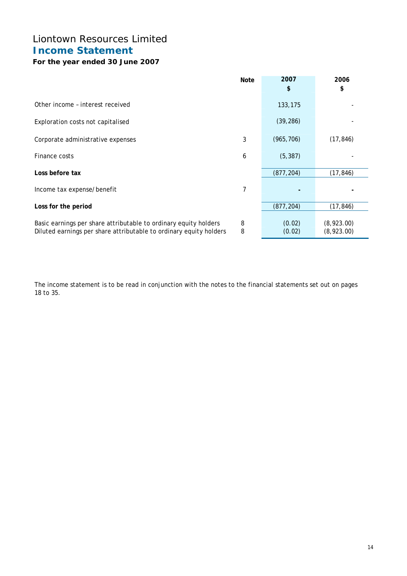# Liontown Resources Limited **Income Statement**

## **For the year ended 30 June 2007**

|                                                                                                                                        | <b>Note</b> | 2007             | 2006                     |
|----------------------------------------------------------------------------------------------------------------------------------------|-------------|------------------|--------------------------|
|                                                                                                                                        |             | \$               | \$                       |
| Other income - interest received                                                                                                       |             | 133,175          |                          |
| Exploration costs not capitalised                                                                                                      |             | (39, 286)        |                          |
| Corporate administrative expenses                                                                                                      | 3           | (965, 706)       | (17, 846)                |
| Finance costs                                                                                                                          | 6           | (5, 387)         |                          |
| Loss before tax                                                                                                                        |             | (877, 204)       | (17, 846)                |
| Income tax expense/benefit                                                                                                             | 7           |                  |                          |
| Loss for the period                                                                                                                    |             | (877, 204)       | (17, 846)                |
| Basic earnings per share attributable to ordinary equity holders<br>Diluted earnings per share attributable to ordinary equity holders | 8<br>8      | (0.02)<br>(0.02) | (8,923.00)<br>(8,923.00) |

The income statement is to be read in conjunction with the notes to the financial statements set out on pages 18 to 35.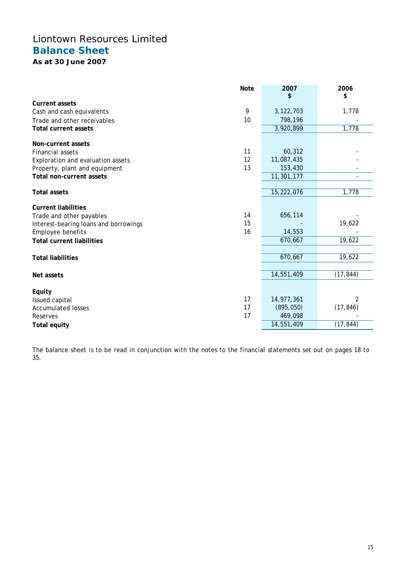# Liontown Resources Limited **Balance Sheet**

**As at 30 June 2007** 

|                                       | <b>Note</b> | 2007       | 2006      |
|---------------------------------------|-------------|------------|-----------|
|                                       |             | \$         | \$        |
| <b>Current assets</b>                 |             |            |           |
| Cash and cash equivalents             | 9           | 3,122,703  | 1,778     |
| Trade and other receivables           | 10          | 798,196    |           |
| <b>Total current assets</b>           |             | 3,920,899  | 1,778     |
| Non-current assets                    |             |            |           |
| <b>Financial assets</b>               | 11          | 60,312     |           |
| Exploration and evaluation assets     | 12          | 11,087,435 |           |
| Property, plant and equipment         | 13          | 153,430    |           |
| Total non-current assets              |             | 11,301,177 |           |
|                                       |             |            |           |
| <b>Total assets</b>                   |             | 15,222,076 | 1,778     |
| <b>Current liabilities</b>            |             |            |           |
| Trade and other payables              | 14          | 656,114    |           |
| Interest-bearing loans and borrowings | 15          |            | 19,622    |
| Employee benefits                     | 16          | 14,553     |           |
| <b>Total current liabilities</b>      |             | 670,667    | 19,622    |
|                                       |             |            |           |
| <b>Total liabilities</b>              |             | 670,667    | 19,622    |
|                                       |             |            |           |
| Net assets                            |             | 14,551,409 | (17, 844) |
|                                       |             |            |           |
| Equity                                | 17          | 14,977,361 | 2         |
| Issued capital                        | 17          | (895,050)  | (17, 846) |
| <b>Accumulated losses</b>             | 17          | 469,098    |           |
| Reserves                              |             | 14,551,409 | (17, 844) |
| <b>Total equity</b>                   |             |            |           |

The balance sheet is to be read in conjunction with the notes to the financial statements set out on pages 18 to 35.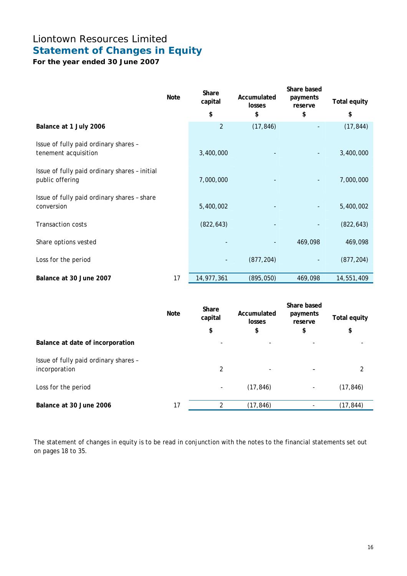# Liontown Resources Limited **Statement of Changes in Equity**

**For the year ended 30 June 2007** 

|                                                                  | <b>Note</b> | Share<br>capital | Accumulated<br>losses | Share based<br>payments<br>reserve | <b>Total equity</b> |
|------------------------------------------------------------------|-------------|------------------|-----------------------|------------------------------------|---------------------|
|                                                                  |             | \$               | \$                    | \$                                 | \$                  |
| Balance at 1 July 2006                                           |             | $\overline{2}$   | (17, 846)             |                                    | (17, 844)           |
| Issue of fully paid ordinary shares -<br>tenement acquisition    |             | 3,400,000        |                       |                                    | 3,400,000           |
| Issue of fully paid ordinary shares - initial<br>public offering |             | 7,000,000        |                       |                                    | 7,000,000           |
| Issue of fully paid ordinary shares - share<br>conversion        |             | 5,400,002        |                       |                                    | 5,400,002           |
| <b>Transaction costs</b>                                         |             | (822, 643)       |                       |                                    | (822, 643)          |
| Share options vested                                             |             |                  |                       | 469,098                            | 469,098             |
| Loss for the period                                              |             |                  | (877, 204)            |                                    | (877, 204)          |
| Balance at 30 June 2007                                          | 17          | 14,977,361       | (895, 050)            | 469,098                            | 14,551,409          |

|                                                        | <b>Note</b> | Share<br>capital<br>\$   | Accumulated<br>losses<br>\$ | Share based<br>payments<br>reserve<br>\$ | <b>Total equity</b><br>\$ |
|--------------------------------------------------------|-------------|--------------------------|-----------------------------|------------------------------------------|---------------------------|
| Balance at date of incorporation                       |             | $\overline{\phantom{a}}$ | -                           |                                          |                           |
| Issue of fully paid ordinary shares -<br>incorporation |             | $\overline{2}$           | -                           |                                          | 2                         |
| Loss for the period                                    |             | $\overline{\phantom{a}}$ | (17, 846)                   | -                                        | (17, 846)                 |
| Balance at 30 June 2006                                | 17          | 2                        | (17, 846)                   |                                          | (17, 844)                 |

The statement of changes in equity is to be read in conjunction with the notes to the financial statements set out on pages 18 to 35.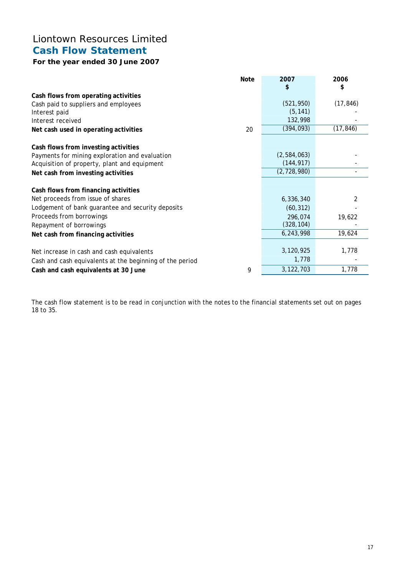# Liontown Resources Limited **Cash Flow Statement**

## **For the year ended 30 June 2007**

|                                                          | <b>Note</b> | 2007<br>\$  | 2006<br>\$ |
|----------------------------------------------------------|-------------|-------------|------------|
| Cash flows from operating activities                     |             |             |            |
| Cash paid to suppliers and employees                     |             | (521, 950)  | (17, 846)  |
| Interest paid                                            |             | (5, 141)    |            |
| Interest received                                        |             | 132,998     |            |
| Net cash used in operating activities                    | 20          | (394, 093)  | (17, 846)  |
| Cash flows from investing activities                     |             |             |            |
| Payments for mining exploration and evaluation           |             | (2,584,063) |            |
| Acquisition of property, plant and equipment             |             | (144, 917)  |            |
| Net cash from investing activities                       |             | (2,728,980) |            |
| Cash flows from financing activities                     |             |             |            |
| Net proceeds from issue of shares                        |             | 6,336,340   |            |
| Lodgement of bank guarantee and security deposits        |             | (60, 312)   |            |
| Proceeds from borrowings                                 |             | 296,074     | 19,622     |
| Repayment of borrowings                                  |             | (328, 104)  |            |
| Net cash from financing activities                       |             | 6,243,998   | 19,624     |
|                                                          |             | 3,120,925   | 1,778      |
| Net increase in cash and cash equivalents                |             |             |            |
| Cash and cash equivalents at the beginning of the period |             | 1,778       |            |
| Cash and cash equivalents at 30 June                     | 9           | 3, 122, 703 | 1,778      |

The cash flow statement is to be read in conjunction with the notes to the financial statements set out on pages 18 to 35.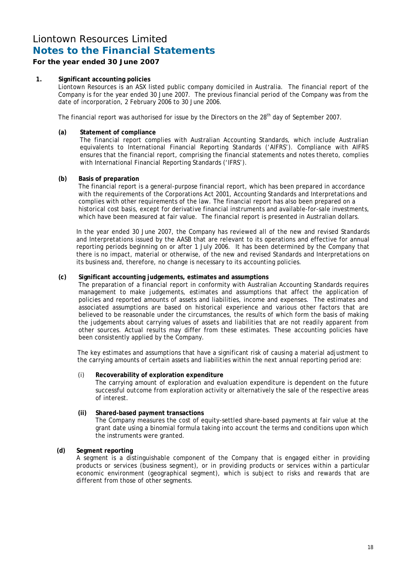### **For the year ended 30 June 2007**

### **1. Significant accounting policies**

Liontown Resources is an ASX listed public company domiciled in Australia. The financial report of the Company is for the year ended 30 June 2007. The previous financial period of the Company was from the date of incorporation, 2 February 2006 to 30 June 2006.

The financial report was authorised for issue by the Directors on the 28<sup>th</sup> day of September 2007.

### **(a) Statement of compliance**

 The financial report complies with Australian Accounting Standards, which include Australian equivalents to International Financial Reporting Standards ('AIFRS'). Compliance with AIFRS ensures that the financial report, comprising the financial statements and notes thereto, complies with International Financial Reporting Standards ('IFRS').

### **(b) Basis of preparation**

The financial report is a general-purpose financial report, which has been prepared in accordance with the requirements of the Corporations Act 2001, Accounting Standards and Interpretations and complies with other requirements of the law. The financial report has also been prepared on a historical cost basis, except for derivative financial instruments and available-for-sale investments, which have been measured at fair value. The financial report is presented in Australian dollars.

 In the year ended 30 June 2007, the Company has reviewed all of the new and revised Standards and Interpretations issued by the AASB that are relevant to its operations and effective for annual reporting periods beginning on or after 1 July 2006. It has been determined by the Company that there is no impact, material or otherwise, of the new and revised Standards and Interpretations on its business and, therefore, no change is necessary to its accounting policies.

### **(c) Significant accounting judgements, estimates and assumptions**

The preparation of a financial report in conformity with Australian Accounting Standards requires management to make judgements, estimates and assumptions that affect the application of policies and reported amounts of assets and liabilities, income and expenses. The estimates and associated assumptions are based on historical experience and various other factors that are believed to be reasonable under the circumstances, the results of which form the basis of making the judgements about carrying values of assets and liabilities that are not readily apparent from other sources. Actual results may differ from these estimates. These accounting policies have been consistently applied by the Company.

The key estimates and assumptions that have a significant risk of causing a material adjustment to the carrying amounts of certain assets and liabilities within the next annual reporting period are:

### (i) **Recoverability of exploration expenditure**

 The carrying amount of exploration and evaluation expenditure is dependent on the future successful outcome from exploration activity or alternatively the sale of the respective areas of interest.

### **(ii) Shared-based payment transactions**

 The Company measures the cost of equity-settled share-based payments at fair value at the grant date using a binomial formula taking into account the terms and conditions upon which the instruments were granted.

### **(d) Segment reporting**

A segment is a distinguishable component of the Company that is engaged either in providing products or services (business segment), or in providing products or services within a particular economic environment (geographical segment), which is subject to risks and rewards that are different from those of other segments.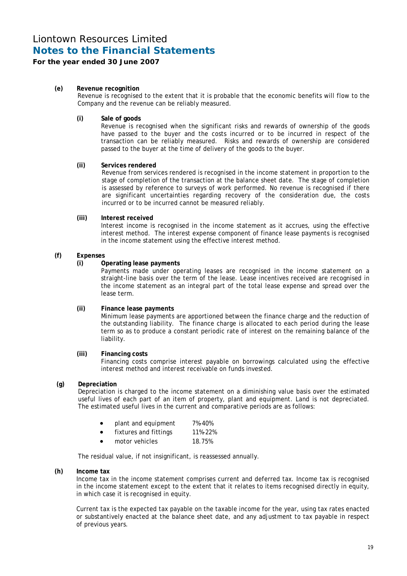### **For the year ended 30 June 2007**

### **(e) Revenue recognition**

Revenue is recognised to the extent that it is probable that the economic benefits will flow to the Company and the revenue can be reliably measured.

#### **(i) Sale of goods**

Revenue is recognised when the significant risks and rewards of ownership of the goods have passed to the buyer and the costs incurred or to be incurred in respect of the transaction can be reliably measured. Risks and rewards of ownership are considered passed to the buyer at the time of delivery of the goods to the buyer.

#### **(ii) Services rendered**

 Revenue from services rendered is recognised in the income statement in proportion to the stage of completion of the transaction at the balance sheet date. The stage of completion is assessed by reference to surveys of work performed. No revenue is recognised if there are significant uncertainties regarding recovery of the consideration due, the costs incurred or to be incurred cannot be measured reliably.

#### **(iii) Interest received**

 Interest income is recognised in the income statement as it accrues, using the effective interest method. The interest expense component of finance lease payments is recognised in the income statement using the effective interest method.

#### **(f) Expenses**

#### **(i) Operating lease payments**

 Payments made under operating leases are recognised in the income statement on a straight-line basis over the term of the lease. Lease incentives received are recognised in the income statement as an integral part of the total lease expense and spread over the lease term.

### **(ii) Finance lease payments**

 Minimum lease payments are apportioned between the finance charge and the reduction of the outstanding liability. The finance charge is allocated to each period during the lease term so as to produce a constant periodic rate of interest on the remaining balance of the liability.

#### **(iii) Financing costs**

 Financing costs comprise interest payable on borrowings calculated using the effective interest method and interest receivable on funds invested.

#### **(g) Depreciation**

Depreciation is charged to the income statement on a diminishing value basis over the estimated useful lives of each part of an item of property, plant and equipment. Land is not depreciated. The estimated useful lives in the current and comparative periods are as follows:

|  | plant and equipment | 7%-40%                                                                     |
|--|---------------------|----------------------------------------------------------------------------|
|  |                     | $\overline{A}$ $\overline{A}$ $\overline{A}$ $\overline{A}$ $\overline{A}$ |

- fixtures and fittings 11%-22%
- motor vehicles 18.75%

The residual value, if not insignificant, is reassessed annually.

#### **(h) Income tax**

Income tax in the income statement comprises current and deferred tax. Income tax is recognised in the income statement except to the extent that it relates to items recognised directly in equity, in which case it is recognised in equity.

 Current tax is the expected tax payable on the taxable income for the year, using tax rates enacted or substantively enacted at the balance sheet date, and any adjustment to tax payable in respect of previous years.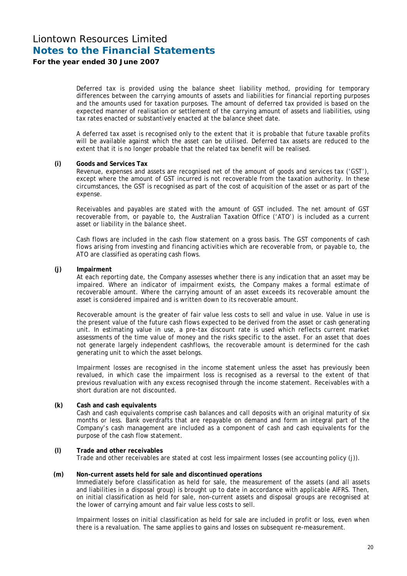### **For the year ended 30 June 2007**

 Deferred tax is provided using the balance sheet liability method, providing for temporary differences between the carrying amounts of assets and liabilities for financial reporting purposes and the amounts used for taxation purposes. The amount of deferred tax provided is based on the expected manner of realisation or settlement of the carrying amount of assets and liabilities, using tax rates enacted or substantively enacted at the balance sheet date.

 A deferred tax asset is recognised only to the extent that it is probable that future taxable profits will be available against which the asset can be utilised. Deferred tax assets are reduced to the extent that it is no longer probable that the related tax benefit will be realised.

#### **(i) Goods and Services Tax**

Revenue, expenses and assets are recognised net of the amount of goods and services tax ('GST'), except where the amount of GST incurred is not recoverable from the taxation authority. In these circumstances, the GST is recognised as part of the cost of acquisition of the asset or as part of the expense.

 Receivables and payables are stated with the amount of GST included. The net amount of GST recoverable from, or payable to, the Australian Taxation Office ('ATO') is included as a current asset or liability in the balance sheet.

 Cash flows are included in the cash flow statement on a gross basis. The GST components of cash flows arising from investing and financing activities which are recoverable from, or payable to, the ATO are classified as operating cash flows.

#### **(j) Impairment**

At each reporting date, the Company assesses whether there is any indication that an asset may be impaired. Where an indicator of impairment exists, the Company makes a formal estimate of recoverable amount. Where the carrying amount of an asset exceeds its recoverable amount the asset is considered impaired and is written down to its recoverable amount.

 Recoverable amount is the greater of fair value less costs to sell and value in use. Value in use is the present value of the future cash flows expected to be derived from the asset or cash generating unit. In estimating value in use, a pre-tax discount rate is used which reflects current market assessments of the time value of money and the risks specific to the asset. For an asset that does not generate largely independent cashflows, the recoverable amount is determined for the cash generating unit to which the asset belongs.

Impairment losses are recognised in the income statement unless the asset has previously been revalued, in which case the impairment loss is recognised as a reversal to the extent of that previous revaluation with any excess recognised through the income statement. Receivables with a short duration are not discounted.

#### **(k) Cash and cash equivalents**

Cash and cash equivalents comprise cash balances and call deposits with an original maturity of six months or less. Bank overdrafts that are repayable on demand and form an integral part of the Company's cash management are included as a component of cash and cash equivalents for the purpose of the cash flow statement.

### **(l) Trade and other receivables**

Trade and other receivables are stated at cost less impairment losses (see accounting policy (j)).

### **(m) Non-current assets held for sale and discontinued operations**

Immediately before classification as held for sale, the measurement of the assets (and all assets and liabilities in a disposal group) is brought up to date in accordance with applicable AIFRS. Then, on initial classification as held for sale, non-current assets and disposal groups are recognised at the lower of carrying amount and fair value less costs to sell.

 Impairment losses on initial classification as held for sale are included in profit or loss, even when there is a revaluation. The same applies to gains and losses on subsequent re-measurement.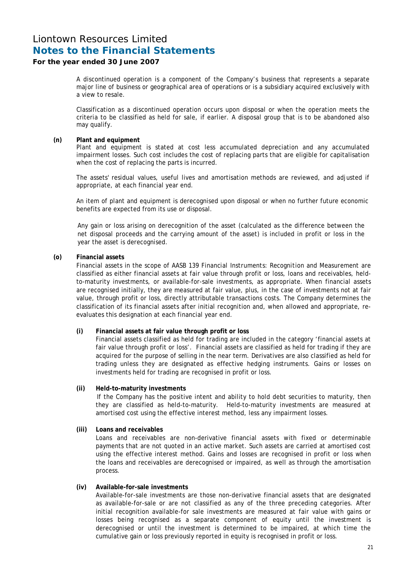### **For the year ended 30 June 2007**

 A discontinued operation is a component of the Company's business that represents a separate major line of business or geographical area of operations or is a subsidiary acquired exclusively with a view to resale.

 Classification as a discontinued operation occurs upon disposal or when the operation meets the criteria to be classified as held for sale, if earlier. A disposal group that is to be abandoned also may qualify.

#### **(n) Plant and equipment**

 Plant and equipment is stated at cost less accumulated depreciation and any accumulated impairment losses. Such cost includes the cost of replacing parts that are eligible for capitalisation when the cost of replacing the parts is incurred.

 The assets' residual values, useful lives and amortisation methods are reviewed, and adjusted if appropriate, at each financial year end.

An item of plant and equipment is derecognised upon disposal or when no further future economic benefits are expected from its use or disposal.

Any gain or loss arising on derecognition of the asset (calculated as the difference between the net disposal proceeds and the carrying amount of the asset) is included in profit or loss in the year the asset is derecognised.

### **(o) Financial assets**

Financial assets in the scope of AASB 139 *Financial Instruments: Recognition and Measurement* are classified as either financial assets at fair value through profit or loss, loans and receivables, heldto-maturity investments, or available-for-sale investments, as appropriate. When financial assets are recognised initially, they are measured at fair value, plus, in the case of investments not at fair value, through profit or loss, directly attributable transactions costs. The Company determines the classification of its financial assets after initial recognition and, when allowed and appropriate, reevaluates this designation at each financial year end.

### **(i) Financial assets at fair value through profit or loss**

 Financial assets classified as held for trading are included in the category 'financial assets at fair value through profit or loss'. Financial assets are classified as held for trading if they are acquired for the purpose of selling in the near term. Derivatives are also classified as held for trading unless they are designated as effective hedging instruments. Gains or losses on investments held for trading are recognised in profit or loss.

### **(ii) Held-to-maturity investments**

If the Company has the positive intent and ability to hold debt securities to maturity, then they are classified as held-to-maturity. Held-to-maturity investments are measured at amortised cost using the effective interest method, less any impairment losses.

### **(iii) Loans and receivables**

 Loans and receivables are non-derivative financial assets with fixed or determinable payments that are not quoted in an active market. Such assets are carried at amortised cost using the effective interest method. Gains and losses are recognised in profit or loss when the loans and receivables are derecognised or impaired, as well as through the amortisation process.

### **(iv) Available-for-sale investments**

 Available-for-sale investments are those non-derivative financial assets that are designated as available-for-sale or are not classified as any of the three preceding categories. After initial recognition available-for sale investments are measured at fair value with gains or losses being recognised as a separate component of equity until the investment is derecognised or until the investment is determined to be impaired, at which time the cumulative gain or loss previously reported in equity is recognised in profit or loss.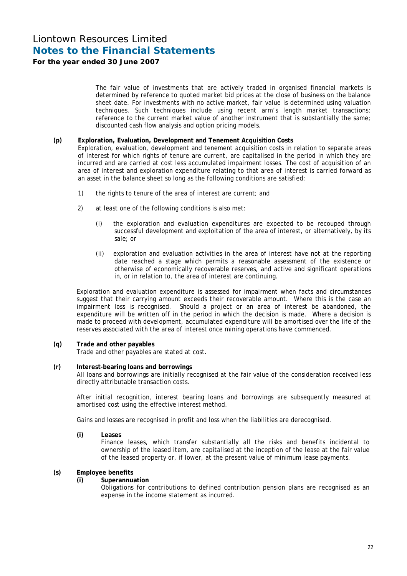### **For the year ended 30 June 2007**

 The fair value of investments that are actively traded in organised financial markets is determined by reference to quoted market bid prices at the close of business on the balance sheet date. For investments with no active market, fair value is determined using valuation techniques. Such techniques include using recent arm's length market transactions; reference to the current market value of another instrument that is substantially the same; discounted cash flow analysis and option pricing models.

### **(p) Exploration, Evaluation, Development and Tenement Acquisition Costs**

 Exploration, evaluation, development and tenement acquisition costs in relation to separate areas of interest for which rights of tenure are current, are capitalised in the period in which they are incurred and are carried at cost less accumulated impairment losses. The cost of acquisition of an area of interest and exploration expenditure relating to that area of interest is carried forward as an asset in the balance sheet so long as the following conditions are satisfied:

- 1) the rights to tenure of the area of interest are current; and
- 2) at least one of the following conditions is also met:
	- (i) the exploration and evaluation expenditures are expected to be recouped through successful development and exploitation of the area of interest, or alternatively, by its sale; or
	- (ii) exploration and evaluation activities in the area of interest have not at the reporting date reached a stage which permits a reasonable assessment of the existence or otherwise of economically recoverable reserves, and active and significant operations in, or in relation to, the area of interest are continuing.

 Exploration and evaluation expenditure is assessed for impairment when facts and circumstances suggest that their carrying amount exceeds their recoverable amount. Where this is the case an impairment loss is recognised. Should a project or an area of interest be abandoned, the expenditure will be written off in the period in which the decision is made. Where a decision is made to proceed with development, accumulated expenditure will be amortised over the life of the reserves associated with the area of interest once mining operations have commenced.

### **(q) Trade and other payables**

Trade and other payables are stated at cost.

### **(r) Interest-bearing loans and borrowings**

All loans and borrowings are initially recognised at the fair value of the consideration received less directly attributable transaction costs.

 After initial recognition, interest bearing loans and borrowings are subsequently measured at amortised cost using the effective interest method.

Gains and losses are recognised in profit and loss when the liabilities are derecognised.

 **(i) Leases** 

Finance leases, which transfer substantially all the risks and benefits incidental to ownership of the leased item, are capitalised at the inception of the lease at the fair value of the leased property or, if lower, at the present value of minimum lease payments.

### **(s) Employee benefits**

### **(i) Superannuation**

 Obligations for contributions to defined contribution pension plans are recognised as an expense in the income statement as incurred.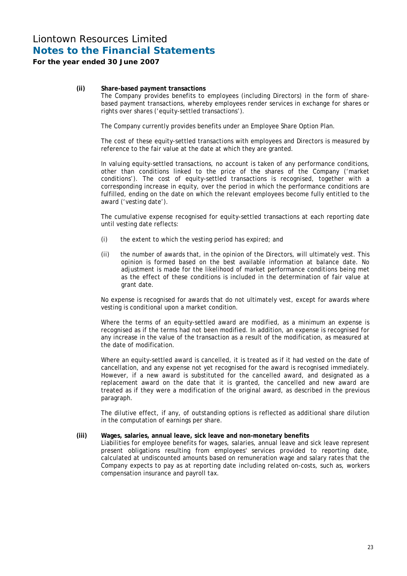### **For the year ended 30 June 2007**

### **(ii) Share-based payment transactions**

 The Company provides benefits to employees (including Directors) in the form of sharebased payment transactions, whereby employees render services in exchange for shares or rights over shares ('equity-settled transactions').

The Company currently provides benefits under an Employee Share Option Plan.

The cost of these equity-settled transactions with employees and Directors is measured by reference to the fair value at the date at which they are granted.

In valuing equity-settled transactions, no account is taken of any performance conditions, other than conditions linked to the price of the shares of the Company ('market conditions'). The cost of equity-settled transactions is recognised, together with a corresponding increase in equity, over the period in which the performance conditions are fulfilled, ending on the date on which the relevant employees become fully entitled to the award ('vesting date').

 The cumulative expense recognised for equity-settled transactions at each reporting date until vesting date reflects:

- (i) the extent to which the vesting period has expired; and
- (ii) the number of awards that, in the opinion of the Directors, will ultimately vest. This opinion is formed based on the best available information at balance date. No adjustment is made for the likelihood of market performance conditions being met as the effect of these conditions is included in the determination of fair value at grant date.

No expense is recognised for awards that do not ultimately vest, except for awards where vesting is conditional upon a market condition.

Where the terms of an equity-settled award are modified, as a minimum an expense is recognised as if the terms had not been modified. In addition, an expense is recognised for any increase in the value of the transaction as a result of the modification, as measured at the date of modification.

 Where an equity-settled award is cancelled, it is treated as if it had vested on the date of cancellation, and any expense not yet recognised for the award is recognised immediately. However, if a new award is substituted for the cancelled award, and designated as a replacement award on the date that it is granted, the cancelled and new award are treated as if they were a modification of the original award, as described in the previous paragraph.

The dilutive effect, if any, of outstanding options is reflected as additional share dilution in the computation of earnings per share.

### **(iii) Wages, salaries, annual leave, sick leave and non-monetary benefits**

 Liabilities for employee benefits for wages, salaries, annual leave and sick leave represent present obligations resulting from employees' services provided to reporting date, calculated at undiscounted amounts based on remuneration wage and salary rates that the Company expects to pay as at reporting date including related on-costs, such as, workers compensation insurance and payroll tax.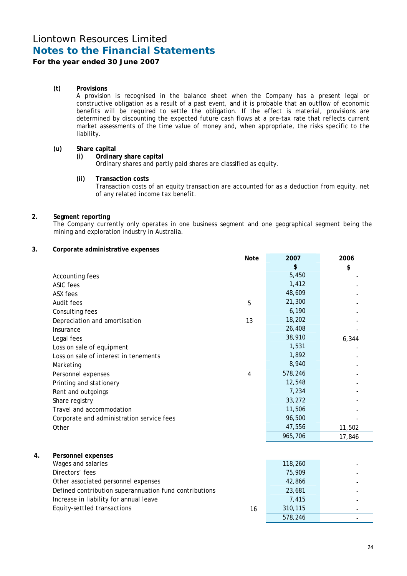### **For the year ended 30 June 2007**

### **(t) Provisions**

A provision is recognised in the balance sheet when the Company has a present legal or constructive obligation as a result of a past event, and it is probable that an outflow of economic benefits will be required to settle the obligation. If the effect is material, provisions are determined by discounting the expected future cash flows at a pre-tax rate that reflects current market assessments of the time value of money and, when appropriate, the risks specific to the liability.

### **(u) Share capital**

### **(i) Ordinary share capital**

Ordinary shares and partly paid shares are classified as equity.

### **(ii) Transaction costs**

 Transaction costs of an equity transaction are accounted for as a deduction from equity, net of any related income tax benefit.

### **2. Segment reporting**

The Company currently only operates in one business segment and one geographical segment being the mining and exploration industry in Australia.

### **3. Corporate administrative expenses**

|    |                                                        | <b>Note</b> | 2007    | 2006   |
|----|--------------------------------------------------------|-------------|---------|--------|
|    |                                                        |             | \$      | \$     |
|    | Accounting fees                                        |             | 5,450   |        |
|    | <b>ASIC fees</b>                                       |             | 1,412   |        |
|    | ASX fees                                               |             | 48,609  |        |
|    | Audit fees                                             | 5           | 21,300  |        |
|    | Consulting fees                                        |             | 6,190   |        |
|    | Depreciation and amortisation                          | 13          | 18,202  |        |
|    | Insurance                                              |             | 26,408  |        |
|    | Legal fees                                             |             | 38,910  | 6,344  |
|    | Loss on sale of equipment                              |             | 1,531   |        |
|    | Loss on sale of interest in tenements                  |             | 1,892   |        |
|    | Marketing                                              |             | 8,940   |        |
|    | Personnel expenses                                     | 4           | 578,246 |        |
|    | Printing and stationery                                |             | 12,548  |        |
|    | Rent and outgoings                                     |             | 7,234   |        |
|    | Share registry                                         |             | 33,272  |        |
|    | Travel and accommodation                               |             | 11,506  |        |
|    | Corporate and administration service fees              |             | 96,500  |        |
|    | Other                                                  |             | 47,556  | 11,502 |
|    |                                                        |             | 965,706 | 17,846 |
|    |                                                        |             |         |        |
| 4. | <b>Personnel expenses</b>                              |             |         |        |
|    | Wages and salaries                                     |             | 118,260 |        |
|    | Directors' fees                                        |             | 75,909  |        |
|    | Other associated personnel expenses                    |             | 42,866  |        |
|    | Defined contribution superannuation fund contributions |             | 23,681  |        |
|    | Increase in liability for annual leave                 |             | 7,415   |        |
|    | Equity-settled transactions                            | 16          | 310,115 |        |
|    |                                                        |             | 578,246 |        |
|    |                                                        |             |         |        |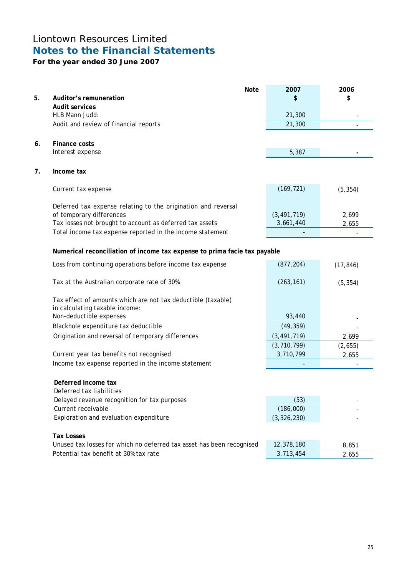# **For the year ended 30 June 2007**

|    | <b>Note</b>                                                                                    | 2007          | 2006      |
|----|------------------------------------------------------------------------------------------------|---------------|-----------|
| 5. | Auditor's remuneration                                                                         | \$            | \$        |
|    | <b>Audit services</b>                                                                          |               |           |
|    | HLB Mann Judd:                                                                                 | 21,300        |           |
|    | Audit and review of financial reports                                                          | 21,300        |           |
|    |                                                                                                |               |           |
| 6. | <b>Finance costs</b>                                                                           |               |           |
|    | Interest expense                                                                               | 5,387         |           |
|    |                                                                                                |               |           |
| 7. | Income tax                                                                                     |               |           |
|    | Current tax expense                                                                            | (169, 721)    | (5, 354)  |
|    |                                                                                                |               |           |
|    | Deferred tax expense relating to the origination and reversal                                  |               |           |
|    | of temporary differences                                                                       | (3, 491, 719) | 2,699     |
|    | Tax losses not brought to account as deferred tax assets                                       | 3,661,440     | 2,655     |
|    | Total income tax expense reported in the income statement                                      |               |           |
|    |                                                                                                |               |           |
|    | Numerical reconciliation of income tax expense to prima facie tax payable                      |               |           |
|    | Loss from continuing operations before income tax expense                                      | (877, 204)    | (17, 846) |
|    |                                                                                                |               |           |
|    | Tax at the Australian corporate rate of 30%                                                    | (263, 161)    | (5, 354)  |
|    |                                                                                                |               |           |
|    | Tax effect of amounts which are not tax deductible (taxable)<br>in calculating taxable income: |               |           |
|    | Non-deductible expenses                                                                        | 93,440        |           |
|    | Blackhole expenditure tax deductible                                                           | (49, 359)     |           |
|    | Origination and reversal of temporary differences                                              | (3, 491, 719) |           |
|    |                                                                                                | (3, 710, 799) | 2,699     |
|    | Current year tax benefits not recognised                                                       | 3,710,799     | (2,655)   |
|    | Income tax expense reported in the income statement                                            |               | 2,655     |
|    |                                                                                                |               |           |
|    | Deferred income tax                                                                            |               |           |
|    | <i>Deferred tax liabilities</i>                                                                |               |           |
|    | Delayed revenue recognition for tax purposes                                                   | (53)          |           |
|    | Current receivable                                                                             | (186,000)     |           |
|    | Exploration and evaluation expenditure                                                         | (3, 326, 230) |           |
|    |                                                                                                |               |           |
|    | <b>Tax Losses</b>                                                                              |               |           |
|    | Unused tax losses for which no deferred tax asset has been recognised                          | 12,378,180    | 8,851     |
|    | Potential tax benefit at 30% tax rate                                                          | 3,713,454     | 2,655     |
|    |                                                                                                |               |           |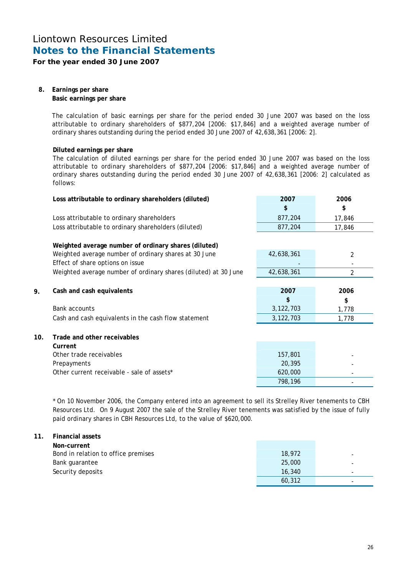**For the year ended 30 June 2007** 

### **8. Earnings per share Basic earnings per share**

The calculation of basic earnings per share for the period ended 30 June 2007 was based on the loss attributable to ordinary shareholders of \$877,204 [2006: \$17,846] and a weighted average number of ordinary shares outstanding during the period ended 30 June 2007 of 42,638,361 [2006: 2].

### **Diluted earnings per share**

The calculation of diluted earnings per share for the period ended 30 June 2007 was based on the loss attributable to ordinary shareholders of \$877,204 [2006: \$17,846] and a weighted average number of ordinary shares outstanding during the period ended 30 June 2007 of 42,638,361 [2006: 2] calculated as follows:

|     | Loss attributable to ordinary shareholders (diluted)            | 2007       | 2006   |
|-----|-----------------------------------------------------------------|------------|--------|
|     |                                                                 | \$         | \$     |
|     | Loss attributable to ordinary shareholders                      | 877,204    | 17,846 |
|     | Loss attributable to ordinary shareholders (diluted)            | 877,204    | 17,846 |
|     |                                                                 |            |        |
|     | Weighted average number of ordinary shares (diluted)            |            |        |
|     | Weighted average number of ordinary shares at 30 June           | 42,638,361 | 2      |
|     | Effect of share options on issue                                |            |        |
|     | Weighted average number of ordinary shares (diluted) at 30 June | 42,638,361 | 2      |
|     |                                                                 |            |        |
| 9.  | Cash and cash equivalents                                       | 2007       | 2006   |
|     |                                                                 | \$         | \$     |
|     | <b>Bank accounts</b>                                            | 3,122,703  | 1,778  |
|     | Cash and cash equivalents in the cash flow statement            | 3,122,703  | 1,778  |
|     |                                                                 |            |        |
| 10. | Trade and other receivables                                     |            |        |
|     | Current                                                         |            |        |
|     | Other trade receivables                                         | 157,801    |        |
|     | Prepayments                                                     | 20,395     |        |
|     | Other current receivable - sale of assets*                      | 620,000    |        |
|     |                                                                 | 798,196    |        |

\* On 10 November 2006, the Company entered into an agreement to sell its Strelley River tenements to CBH Resources Ltd. On 9 August 2007 the sale of the Strelley River tenements was satisfied by the issue of fully paid ordinary shares in CBH Resources Ltd, to the value of \$620,000.

### **11. Financial assets**

| Non-current                         |        |                          |
|-------------------------------------|--------|--------------------------|
| Bond in relation to office premises | 18,972 | $\overline{\phantom{a}}$ |
| Bank guarantee                      | 25,000 | $\overline{\phantom{a}}$ |
| Security deposits                   | 16,340 | $\overline{\phantom{a}}$ |
|                                     | 60,312 | $\overline{\phantom{a}}$ |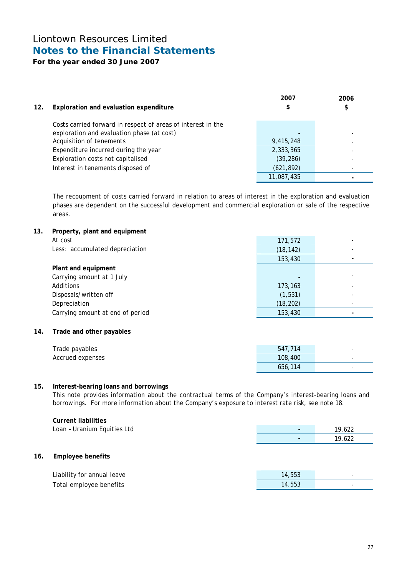**For the year ended 30 June 2007** 

| 12. | Exploration and evaluation expenditure                       | 2007<br>\$ | 2006<br>\$               |
|-----|--------------------------------------------------------------|------------|--------------------------|
|     | Costs carried forward in respect of areas of interest in the |            |                          |
|     | exploration and evaluation phase (at cost)                   |            |                          |
|     | Acquisition of tenements                                     | 9,415,248  | $\overline{\phantom{a}}$ |
|     | Expenditure incurred during the year                         | 2,333,365  |                          |
|     | Exploration costs not capitalised                            | (39, 286)  |                          |
|     | Interest in tenements disposed of                            | (621, 892) |                          |
|     |                                                              | 11,087,435 |                          |

The recoupment of costs carried forward in relation to areas of interest in the exploration and evaluation phases are dependent on the successful development and commercial exploration or sale of the respective areas.

**13. Property, plant and equipment** 

| At cost                          | 171,572                  |  |
|----------------------------------|--------------------------|--|
| Less: accumulated depreciation   | (18, 142)                |  |
|                                  | 153,430                  |  |
| Plant and equipment              |                          |  |
| Carrying amount at 1 July        | $\overline{\phantom{0}}$ |  |
| Additions                        | 173,163                  |  |
| Disposals/written off            | (1, 531)                 |  |
| Depreciation                     | (18, 202)                |  |
| Carrying amount at end of period | 153,430                  |  |

**14. Trade and other payables** 

| Trade payables   | 547,714 | $\overline{\phantom{a}}$ |
|------------------|---------|--------------------------|
| Accrued expenses | 108,400 | $\overline{\phantom{0}}$ |
|                  | 656,114 | $\overline{\phantom{0}}$ |

### **15. Interest-bearing loans and borrowings**

This note provides information about the contractual terms of the Company's interest-bearing loans and borrowings. For more information about the Company's exposure to interest rate risk, see note 18.

|     | <b>Current liabilities</b>  |        |        |
|-----|-----------------------------|--------|--------|
|     | Loan - Uranium Equities Ltd | ٠      | 19,622 |
|     |                             | ٠      | 19,622 |
| 16. | <b>Employee benefits</b>    |        |        |
|     | Liability for annual leave  | 14,553 | ۰      |
|     | Total employee benefits     | 14,553 |        |
|     |                             |        |        |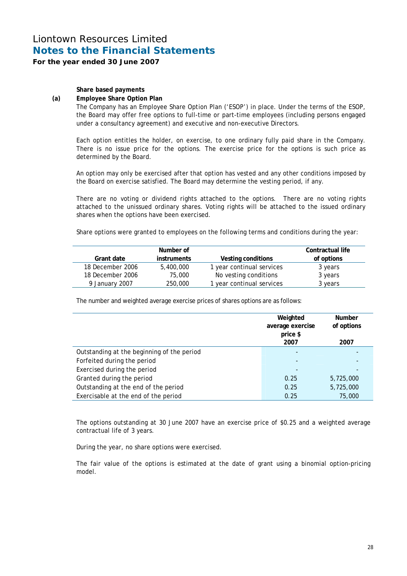**For the year ended 30 June 2007** 

**Share based payments** 

### **(a) Employee Share Option Plan**

 The Company has an Employee Share Option Plan ('ESOP') in place. Under the terms of the ESOP, the Board may offer free options to full-time or part-time employees (including persons engaged under a consultancy agreement) and executive and non-executive Directors.

 Each option entitles the holder, on exercise, to one ordinary fully paid share in the Company. There is no issue price for the options. The exercise price for the options is such price as determined by the Board.

An option may only be exercised after that option has vested and any other conditions imposed by the Board on exercise satisfied. The Board may determine the vesting period, if any.

 There are no voting or dividend rights attached to the options. There are no voting rights attached to the unissued ordinary shares. Voting rights will be attached to the issued ordinary shares when the options have been exercised.

Share options were granted to employees on the following terms and conditions during the year:

| Grant date       | Number of<br><i>instruments</i> | Vesting conditions        | Contractual life<br>of options |
|------------------|---------------------------------|---------------------------|--------------------------------|
| 18 December 2006 | 5,400,000                       | 1 year continual services | 3 years                        |
| 18 December 2006 | 75,000                          | No vesting conditions     | 3 years                        |
| 9 January 2007   | 250,000                         | 1 year continual services | 3 years                        |

The number and weighted average exercise prices of shares options are as follows:

|                                            | Weighted<br>average exercise<br>price \$<br>2007 | <b>Number</b><br>of options<br>2007 |
|--------------------------------------------|--------------------------------------------------|-------------------------------------|
| Outstanding at the beginning of the period |                                                  |                                     |
| Forfeited during the period                |                                                  |                                     |
| Exercised during the period                |                                                  |                                     |
| Granted during the period                  | 0.25                                             | 5,725,000                           |
| Outstanding at the end of the period       | 0.25                                             | 5,725,000                           |
| Exercisable at the end of the period       | 0.25                                             | 75,000                              |

The options outstanding at 30 June 2007 have an exercise price of \$0.25 and a weighted average contractual life of 3 years.

During the year, no share options were exercised.

The fair value of the options is estimated at the date of grant using a binomial option-pricing model.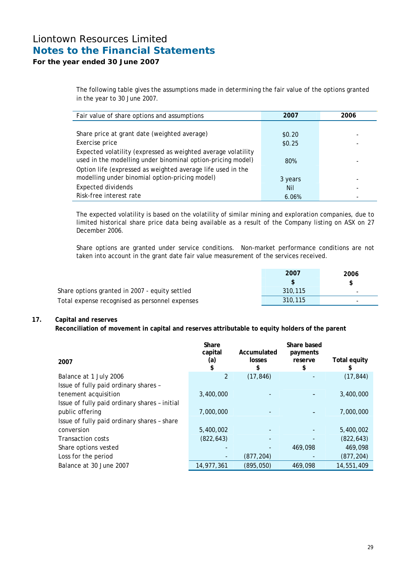### **For the year ended 30 June 2007**

The following table gives the assumptions made in determining the fair value of the options granted in the year to 30 June 2007.

| Fair value of share options and assumptions                   | 2007    | 2006 |
|---------------------------------------------------------------|---------|------|
|                                                               |         |      |
| Share price at grant date (weighted average)                  | \$0.20  |      |
| Exercise price                                                | \$0.25  |      |
| Expected volatility (expressed as weighted average volatility |         |      |
| used in the modelling under binominal option-pricing model)   | 80%     |      |
| Option life (expressed as weighted average life used in the   |         |      |
| modelling under binomial option-pricing model)                | 3 years |      |
| <b>Expected dividends</b>                                     | Nil     |      |
| Risk-free interest rate                                       | 6.06%   |      |

The expected volatility is based on the volatility of similar mining and exploration companies, due to limited historical share price data being available as a result of the Company listing on ASX on 27 December 2006.

Share options are granted under service conditions. Non-market performance conditions are not taken into account in the grant date fair value measurement of the services received.

|                                                | 2007    | 2006                     |
|------------------------------------------------|---------|--------------------------|
|                                                |         |                          |
| Share options granted in 2007 - equity settled | 310.115 | $\overline{\phantom{0}}$ |
| Total expense recognised as personnel expenses | 310.115 | $\overline{\phantom{0}}$ |

### **17. Capital and reserves**

**Reconciliation of movement in capital and reserves attributable to equity holders of the parent** 

| 2007                                          | Share<br>capital<br>(a) | Accumulated<br><b>losses</b><br>S | Share based<br>payments<br>reserve<br>\$ | Total equity<br>\$ |
|-----------------------------------------------|-------------------------|-----------------------------------|------------------------------------------|--------------------|
| Balance at 1 July 2006                        | 2                       | (17, 846)                         |                                          | (17, 844)          |
| Issue of fully paid ordinary shares -         |                         |                                   |                                          |                    |
| tenement acquisition                          | 3,400,000               |                                   |                                          | 3,400,000          |
| Issue of fully paid ordinary shares - initial |                         |                                   |                                          |                    |
| public offering                               | 7,000,000               |                                   |                                          | 7,000,000          |
| Issue of fully paid ordinary shares - share   |                         |                                   |                                          |                    |
| conversion                                    | 5,400,002               |                                   |                                          | 5,400,002          |
| <b>Transaction costs</b>                      | (822, 643)              |                                   |                                          | (822, 643)         |
| Share options vested                          |                         |                                   | 469,098                                  | 469,098            |
| Loss for the period                           |                         | (877, 204)                        |                                          | (877, 204)         |
| Balance at 30 June 2007                       | 14,977,361              | (895, 050)                        | 469,098                                  | 14,551,409         |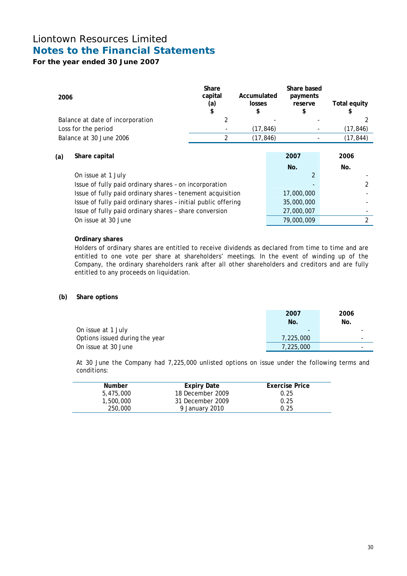## **For the year ended 30 June 2007**

| 2006                    |                                                               | Share<br>capital<br>(a)<br>\$ | Accumulated<br>losses<br>\$ | Share based<br>payments<br>reserve<br>\$ | Total equity<br>\$ |
|-------------------------|---------------------------------------------------------------|-------------------------------|-----------------------------|------------------------------------------|--------------------|
|                         | Balance at date of incorporation                              | 2                             |                             |                                          |                    |
| Loss for the period     |                                                               |                               | (17, 846)                   |                                          | (17, 846)          |
| Balance at 30 June 2006 |                                                               | 2                             | (17, 846)                   |                                          | (17, 844)          |
| Share capital<br>(a)    |                                                               |                               |                             | 2007<br>No.                              | 2006<br>No.        |
| On issue at 1 July      |                                                               |                               |                             |                                          |                    |
|                         | Issue of fully paid ordinary shares - on incorporation        |                               |                             |                                          | 2                  |
|                         | Issue of fully paid ordinary shares - tenement acquisition    |                               |                             | 17,000,000                               |                    |
|                         | Issue of fully paid ordinary shares - initial public offering |                               |                             | 35,000,000                               |                    |
|                         | Issue of fully paid ordinary shares - share conversion        |                               |                             | 27,000,007                               |                    |
|                         | On issue at 30 June                                           |                               |                             | 79,000,009                               | 2                  |

### **Ordinary shares**

 Holders of ordinary shares are entitled to receive dividends as declared from time to time and are entitled to one vote per share at shareholders' meetings. In the event of winding up of the Company, the ordinary shareholders rank after all other shareholders and creditors and are fully entitled to any proceeds on liquidation.

### **(b) Share options**

|                                | 2007                     | 2006                     |
|--------------------------------|--------------------------|--------------------------|
|                                | No.                      | No.                      |
| On issue at 1 July             | $\overline{\phantom{0}}$ |                          |
| Options issued during the year | 7,225,000                | $\overline{\phantom{0}}$ |
| On issue at 30 June            | 7,225,000                | $\overline{\phantom{0}}$ |

At 30 June the Company had 7,225,000 unlisted options on issue under the following terms and conditions:

| <b>Number</b> | Expiry Date      | <b>Exercise Price</b> |
|---------------|------------------|-----------------------|
| 5,475,000     | 18 December 2009 | 0.25                  |
| 1,500,000     | 31 December 2009 | 0.25                  |
| 250,000       | 9 January 2010   | 0.25                  |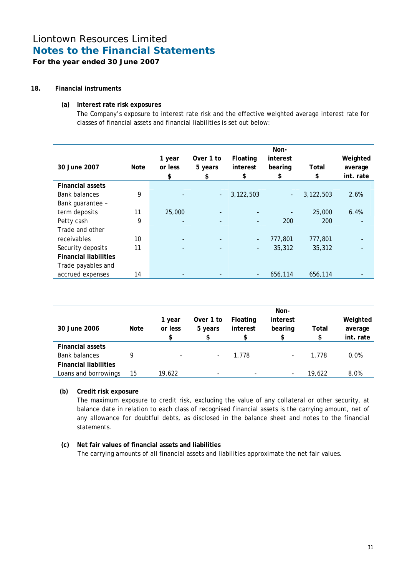**For the year ended 30 June 2007** 

### **18. Financial instruments**

### **(a) Interest rate risk exposures**

The Company's exposure to interest rate risk and the effective weighted average interest rate for classes of financial assets and financial liabilities is set out below:

| 30 June 2007                 | Note | 1 year<br>or less<br>\$ | Over 1 to<br>5 years<br>\$ | Floating<br>interest<br>\$ | Non-<br>interest<br>bearing<br>\$ | Total<br>\$ | Weighted<br>average<br>int. rate |
|------------------------------|------|-------------------------|----------------------------|----------------------------|-----------------------------------|-------------|----------------------------------|
| <b>Financial assets</b>      |      |                         |                            |                            |                                   |             |                                  |
| <b>Bank balances</b>         | 9    |                         | $\sim$                     | 3,122,503                  | $\blacksquare$                    | 3,122,503   | 2.6%                             |
| Bank guarantee -             |      |                         |                            |                            |                                   |             |                                  |
| term deposits                | 11   | 25,000                  |                            |                            |                                   | 25,000      | 6.4%                             |
| Petty cash                   | 9    |                         |                            | ٠                          | 200                               | 200         |                                  |
| Trade and other              |      |                         |                            |                            |                                   |             |                                  |
| receivables                  | 10   |                         |                            | -                          | 777,801                           | 777,801     |                                  |
| Security deposits            | 11   |                         |                            | $\overline{\phantom{a}}$   | 35,312                            | 35,312      |                                  |
| <b>Financial liabilities</b> |      |                         |                            |                            |                                   |             |                                  |
| Trade payables and           |      |                         |                            |                            |                                   |             |                                  |
| accrued expenses             | 14   |                         |                            |                            | 656,114                           | 656,114     |                                  |

| 30 June 2006                 | Note | 1 year<br>or less<br>\$  | Over 1 to<br>5 years     | Floating<br>interest<br>\$ | Non-<br>interest<br>bearing<br>\$ | Total<br>\$ | Weighted<br>average<br>int. rate |
|------------------------------|------|--------------------------|--------------------------|----------------------------|-----------------------------------|-------------|----------------------------------|
| <b>Financial assets</b>      |      |                          |                          |                            |                                   |             |                                  |
| <b>Bank balances</b>         |      | $\overline{\phantom{a}}$ | $\overline{\phantom{a}}$ | 1,778                      | $\overline{\phantom{a}}$          | 1,778       | 0.0%                             |
| <b>Financial liabilities</b> |      |                          |                          |                            |                                   |             |                                  |
| Loans and borrowings         | 15   | 19.622                   | $\overline{\phantom{a}}$ | $\overline{\phantom{a}}$   | $\overline{\phantom{a}}$          | 19,622      | 8.0%                             |

### **(b) Credit risk exposure**

The maximum exposure to credit risk, excluding the value of any collateral or other security, at balance date in relation to each class of recognised financial assets is the carrying amount, net of any allowance for doubtful debts, as disclosed in the balance sheet and notes to the financial statements.

### **(c) Net fair values of financial assets and liabilities**  The carrying amounts of all financial assets and liabilities approximate the net fair values.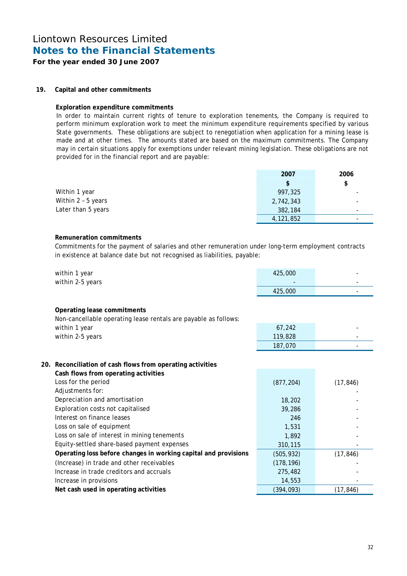### **For the year ended 30 June 2007**

### **19. Capital and other commitments**

### **Exploration expenditure commitments**

In order to maintain current rights of tenure to exploration tenements, the Company is required to perform minimum exploration work to meet the minimum expenditure requirements specified by various State governments. These obligations are subject to renegotiation when application for a mining lease is made and at other times. The amounts stated are based on the maximum commitments. The Company may in certain situations apply for exemptions under relevant mining legislation. These obligations are not provided for in the financial report and are payable:

|                    | 2007          | 2006                     |
|--------------------|---------------|--------------------------|
|                    | <sup>\$</sup> | \$                       |
| Within 1 year      | 997,325       |                          |
| Within 2 - 5 years | 2,742,343     | $\overline{\phantom{0}}$ |
| Later than 5 years | 382,184       | $\overline{\phantom{0}}$ |
|                    | 4,121,852     | $\overline{\phantom{0}}$ |

### **Remuneration commitments**

Commitments for the payment of salaries and other remuneration under long-term employment contracts in existence at balance date but not recognised as liabilities, payable:

| within 1 year<br>within 2-5 years                                                                                                   | 425,000           |           |
|-------------------------------------------------------------------------------------------------------------------------------------|-------------------|-----------|
|                                                                                                                                     | 425,000           |           |
| Operating lease commitments<br>Non-cancellable operating lease rentals are payable as follows:<br>within 1 year<br>within 2-5 years | 67,242<br>119,828 |           |
|                                                                                                                                     | 187,070           |           |
| 20. Reconciliation of cash flows from operating activities                                                                          |                   |           |
| Cash flows from operating activities                                                                                                |                   |           |
| Loss for the period                                                                                                                 | (877, 204)        | (17, 846) |
| Adjustments for:                                                                                                                    |                   |           |
| Depreciation and amortisation                                                                                                       | 18,202            |           |
| Exploration costs not capitalised                                                                                                   | 39,286            |           |
| Interest on finance leases                                                                                                          | 246               |           |
| Loss on sale of equipment                                                                                                           | 1,531             |           |
| Loss on sale of interest in mining tenements                                                                                        | 1,892             |           |
| Equity-settled share-based payment expenses                                                                                         | 310,115           |           |
| Operating loss before changes in working capital and provisions                                                                     | (505, 932)        | (17, 846) |
| (Increase) in trade and other receivables                                                                                           | (178, 196)        |           |
| Increase in trade creditors and accruals                                                                                            | 275,482           |           |
| Increase in provisions                                                                                                              | 14,553            |           |
| Net cash used in operating activities                                                                                               | (394, 093)        | (17, 846) |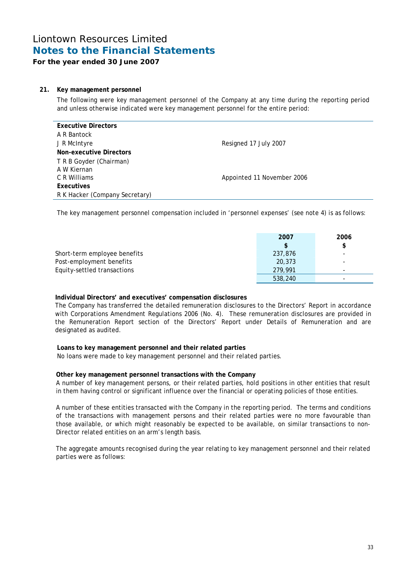### **For the year ended 30 June 2007**

### **21. Key management personnel**

The following were key management personnel of the Company at any time during the reporting period and unless otherwise indicated were key management personnel for the entire period:

| <b>Executive Directors</b>     |                            |
|--------------------------------|----------------------------|
| A R Bantock                    |                            |
| J R McIntyre                   | Resigned 17 July 2007      |
| Non-executive Directors        |                            |
| T R B Goyder (Chairman)        |                            |
| A W Kiernan                    |                            |
| C R Williams                   | Appointed 11 November 2006 |
| <b>Executives</b>              |                            |
| R K Hacker (Company Secretary) |                            |

The key management personnel compensation included in 'personnel expenses' (see note 4) is as follows:

|                              | 2007<br>\$. | 2006<br>\$ |
|------------------------------|-------------|------------|
| Short-term employee benefits | 237,876     |            |
| Post-employment benefits     | 20,373      |            |
| Equity-settled transactions  | 279.991     |            |
|                              | 538,240     |            |

### **Individual Directors' and executives' compensation disclosures**

The Company has transferred the detailed remuneration disclosures to the Directors' Report in accordance with Corporations Amendment Regulations 2006 (No. 4). These remuneration disclosures are provided in the Remuneration Report section of the Directors' Report under Details of Remuneration and are designated as audited.

### **Loans to key management personnel and their related parties**

No loans were made to key management personnel and their related parties.

### **Other key management personnel transactions with the Company**

A number of key management persons, or their related parties, hold positions in other entities that result in them having control or significant influence over the financial or operating policies of those entities.

A number of these entities transacted with the Company in the reporting period. The terms and conditions of the transactions with management persons and their related parties were no more favourable than those available, or which might reasonably be expected to be available, on similar transactions to non-Director related entities on an arm's length basis.

The aggregate amounts recognised during the year relating to key management personnel and their related parties were as follows: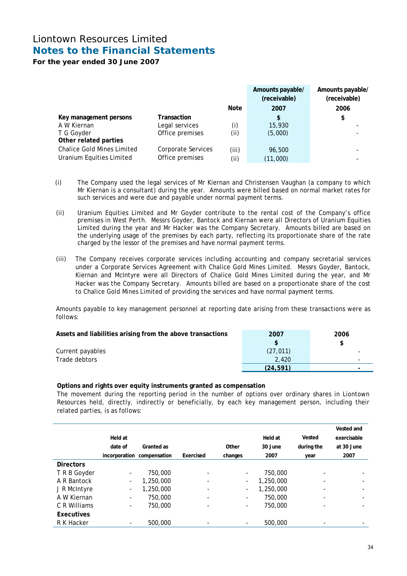**For the year ended 30 June 2007** 

|                                   |                    |       | Amounts payable/<br>(receivable) | Amounts payable/<br>(receivable) |
|-----------------------------------|--------------------|-------|----------------------------------|----------------------------------|
|                                   |                    | Note  | 2007                             | 2006                             |
| Key management persons            | Transaction        |       | \$                               | \$                               |
| A W Kiernan                       | Legal services     | (i)   | 15,930                           |                                  |
| T G Goyder                        | Office premises    | (i)   | (5,000)                          |                                  |
| Other related parties             |                    |       |                                  |                                  |
| <b>Chalice Gold Mines Limited</b> | Corporate Services | (iii) | 96,500                           |                                  |
| Uranium Equities Limited          | Office premises    | (ii)  | (11,000)                         |                                  |

- (i) The Company used the legal services of Mr Kiernan and Christensen Vaughan (a company to which Mr Kiernan is a consultant) during the year. Amounts were billed based on normal market rates for such services and were due and payable under normal payment terms.
- (ii) Uranium Equities Limited and Mr Goyder contribute to the rental cost of the Company's office premises in West Perth. Messrs Goyder, Bantock and Kiernan were all Directors of Uranium Equities Limited during the year and Mr Hacker was the Company Secretary. Amounts billed are based on the underlying usage of the premises by each party, reflecting its proportionate share of the rate charged by the lessor of the premises and have normal payment terms.
- (iii) The Company receives corporate services including accounting and company secretarial services under a Corporate Services Agreement with Chalice Gold Mines Limited. Messrs Goyder, Bantock, Kiernan and McIntyre were all Directors of Chalice Gold Mines Limited during the year, and Mr Hacker was the Company Secretary. Amounts billed are based on a proportionate share of the cost to Chalice Gold Mines Limited of providing the services and have normal payment terms.

Amounts payable to key management personnel at reporting date arising from these transactions were as follows:

| Assets and liabilities arising from the above transactions | 2007      | 2006 |
|------------------------------------------------------------|-----------|------|
|                                                            |           |      |
| Current payables                                           | (27, 011) |      |
| Trade debtors                                              | 2.420     |      |
|                                                            | (24.591)  |      |

### **Options and rights over equity instruments granted as compensation**

The movement during the reporting period in the number of options over ordinary shares in Liontown Resources held, directly, indirectly or beneficially, by each key management person, including their related parties, is as follows:

|                  |                          |                            |                          |                          |           |                          | Vested and  |
|------------------|--------------------------|----------------------------|--------------------------|--------------------------|-----------|--------------------------|-------------|
|                  | Held at                  |                            |                          |                          | Held at   | Vested                   | exercisable |
|                  | date of                  | Granted as                 |                          | Other                    | 30 June   | during the               | at 30 June  |
|                  |                          | incorporation compensation | Exercised                | changes                  | 2007      | year                     | 2007        |
| <b>Directors</b> |                          |                            |                          |                          |           |                          |             |
| T R B Goyder     | $\overline{\phantom{a}}$ | 750,000                    | -                        | $\overline{\phantom{a}}$ | 750,000   | $\overline{\phantom{0}}$ |             |
| A R Bantock      | $\overline{\phantom{a}}$ | 1,250,000                  | -                        | $\overline{\phantom{a}}$ | 1,250,000 | $\overline{\phantom{0}}$ |             |
| J R McIntyre     | $\overline{\phantom{a}}$ | 1,250,000                  | -                        | $\overline{\phantom{a}}$ | 1,250,000 | $\overline{\phantom{0}}$ |             |
| A W Kiernan      | $\overline{\phantom{a}}$ | 750,000                    | -                        | $\overline{\phantom{a}}$ | 750,000   | $\overline{\phantom{0}}$ |             |
| C R Williams     | $\overline{\phantom{a}}$ | 750,000                    | $\overline{\phantom{0}}$ | $\overline{\phantom{a}}$ | 750,000   | $\overline{\phantom{0}}$ |             |
| Executives       |                          |                            |                          |                          |           |                          |             |
| R K Hacker       | $\overline{\phantom{a}}$ | 500,000                    | -                        | $\overline{\phantom{a}}$ | 500,000   |                          |             |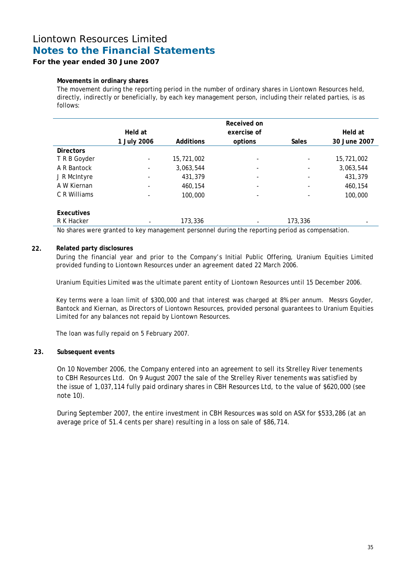### **For the year ended 30 June 2007**

### **Movements in ordinary shares**

The movement during the reporting period in the number of ordinary shares in Liontown Resources held, directly, indirectly or beneficially, by each key management person, including their related parties, is as follows:

|                  |                          |            | Received on              |                              |              |
|------------------|--------------------------|------------|--------------------------|------------------------------|--------------|
|                  | Held at                  |            | exercise of              |                              | Held at      |
|                  | 1 July 2006              | Additions  | options                  | <b>Sales</b>                 | 30 June 2007 |
| <b>Directors</b> |                          |            |                          |                              |              |
| T R B Goyder     | $\overline{\phantom{0}}$ | 15,721,002 | $\overline{\phantom{a}}$ | $\qquad \qquad \blacksquare$ | 15,721,002   |
| A R Bantock      | $\overline{\phantom{0}}$ | 3,063,544  | $\overline{\phantom{a}}$ | $\overline{\phantom{0}}$     | 3,063,544    |
| J R McIntyre     | -                        | 431,379    | $\overline{\phantom{a}}$ | -                            | 431,379      |
| A W Kiernan      |                          | 460,154    | $\overline{\phantom{a}}$ | $\overline{\phantom{a}}$     | 460,154      |
| C R Williams     |                          | 100,000    | $\overline{\phantom{a}}$ | -                            | 100,000      |
| Executives       |                          |            |                          |                              |              |
| R K Hacker       |                          | 173,336    | $\overline{\phantom{a}}$ | 173,336                      |              |

No shares were granted to key management personnel during the reporting period as compensation.

### **22. Related party disclosures**

During the financial year and prior to the Company's Initial Public Offering, Uranium Equities Limited provided funding to Liontown Resources under an agreement dated 22 March 2006.

Uranium Equities Limited was the ultimate parent entity of Liontown Resources until 15 December 2006.

Key terms were a loan limit of \$300,000 and that interest was charged at 8% per annum. Messrs Goyder, Bantock and Kiernan, as Directors of Liontown Resources, provided personal guarantees to Uranium Equities Limited for any balances not repaid by Liontown Resources.

The loan was fully repaid on 5 February 2007.

### **23. Subsequent events**

On 10 November 2006, the Company entered into an agreement to sell its Strelley River tenements to CBH Resources Ltd. On 9 August 2007 the sale of the Strelley River tenements was satisfied by the issue of 1,037,114 fully paid ordinary shares in CBH Resources Ltd, to the value of \$620,000 (see note 10).

During September 2007, the entire investment in CBH Resources was sold on ASX for \$533,286 (at an average price of 51.4 cents per share) resulting in a loss on sale of \$86,714.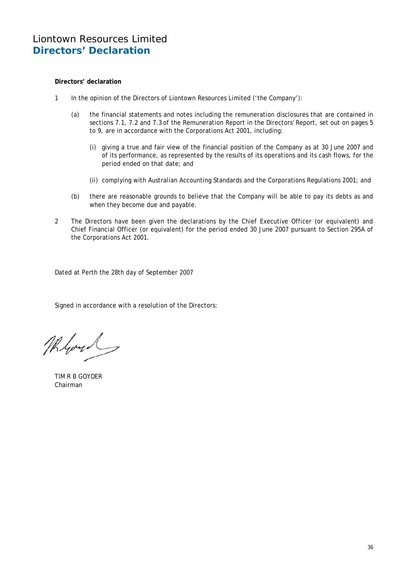### **Directors' declaration**

- 1 In the opinion of the Directors of Liontown Resources Limited ('the Company'):
	- (a) the financial statements and notes including the remuneration disclosures that are contained in sections 7.1, 7.2 and 7.3 of the Remuneration Report in the Directors' Report, set out on pages 5 to 9, are in accordance with the Corporations Act 2001, including:
		- (i) giving a true and fair view of the financial position of the Company as at 30 June 2007 and of its performance, as represented by the results of its operations and its cash flows, for the period ended on that date; and
		- (ii) complying with Australian Accounting Standards and the Corporations Regulations 2001; and
	- (b) there are reasonable grounds to believe that the Company will be able to pay its debts as and when they become due and payable.
- 2 The Directors have been given the declarations by the Chief Executive Officer (or equivalent) and Chief Financial Officer (or equivalent) for the period ended 30 June 2007 pursuant to Section 295A of the Corporations Act 2001.

Dated at Perth the 28th day of September 2007

Signed in accordance with a resolution of the Directors:

Mloyd

TIM R B GOYDER Chairman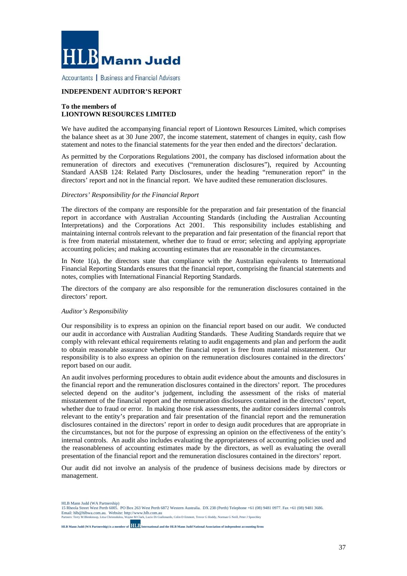

Accountants | Business and Financial Advisers

### **INDEPENDENT AUDITOR'S REPORT**

#### **To the members of LIONTOWN RESOURCES LIMITED**

We have audited the accompanying financial report of Liontown Resources Limited, which comprises the balance sheet as at 30 June 2007, the income statement, statement of changes in equity, cash flow statement and notes to the financial statements for the year then ended and the directors' declaration.

As permitted by the Corporations Regulations 2001, the company has disclosed information about the remuneration of directors and executives ("remuneration disclosures"), required by Accounting Standard AASB 124: Related Party Disclosures, under the heading "remuneration report" in the directors' report and not in the financial report. We have audited these remuneration disclosures.

#### *Directors' Responsibility for the Financial Report*

The directors of the company are responsible for the preparation and fair presentation of the financial report in accordance with Australian Accounting Standards (including the Australian Accounting Interpretations) and the Corporations Act 2001. This responsibility includes establishing and maintaining internal controls relevant to the preparation and fair presentation of the financial report that is free from material misstatement, whether due to fraud or error; selecting and applying appropriate accounting policies; and making accounting estimates that are reasonable in the circumstances.

In Note  $1(a)$ , the directors state that compliance with the Australian equivalents to International Financial Reporting Standards ensures that the financial report, comprising the financial statements and notes, complies with International Financial Reporting Standards.

The directors of the company are also responsible for the remuneration disclosures contained in the directors' report.

#### *Auditor's Responsibility*

Our responsibility is to express an opinion on the financial report based on our audit. We conducted our audit in accordance with Australian Auditing Standards. These Auditing Standards require that we comply with relevant ethical requirements relating to audit engagements and plan and perform the audit to obtain reasonable assurance whether the financial report is free from material misstatement. Our responsibility is to also express an opinion on the remuneration disclosures contained in the directors' report based on our audit.

An audit involves performing procedures to obtain audit evidence about the amounts and disclosures in the financial report and the remuneration disclosures contained in the directors' report. The procedures selected depend on the auditor's judgement, including the assessment of the risks of material misstatement of the financial report and the remuneration disclosures contained in the directors' report, whether due to fraud or error. In making those risk assessments, the auditor considers internal controls relevant to the entity's preparation and fair presentation of the financial report and the remuneration disclosures contained in the directors' report in order to design audit procedures that are appropriate in the circumstances, but not for the purpose of expressing an opinion on the effectiveness of the entity's internal controls. An audit also includes evaluating the appropriateness of accounting policies used and the reasonableness of accounting estimates made by the directors, as well as evaluating the overall presentation of the financial report and the remuneration disclosures contained in the directors' report.

Our audit did not involve an analysis of the prudence of business decisions made by directors or management.

HLB Mann Judd (WA Partnership)

**HLB Mann Judd (WA Partnership) is a member of International and the HLB Mann Judd National Association of independent accounting firms**

<sup>15</sup> Rheola Street West Perth 6005. PO Box 263 West Perth 6872 Western Australia. DX 238 (Perth) Telephone +61 (08) 9481 0977. Fax +61 (08) 9481 3686. Email: hlb@hlbwa.com.au. Website: http://www.hlb.com.au Partners: Terry M Blenkinsop, Litsa Christodulou, Wayne M Clark, Lucio Di Giallonardo, Colin D Emmott, Trevor G Hoddy, Norman G Neill, Peter J Speechley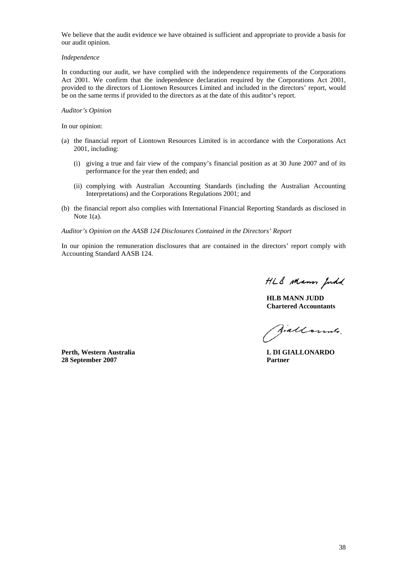We believe that the audit evidence we have obtained is sufficient and appropriate to provide a basis for our audit opinion.

#### *Independence*

In conducting our audit, we have complied with the independence requirements of the Corporations Act 2001. We confirm that the independence declaration required by the Corporations Act 2001, provided to the directors of Liontown Resources Limited and included in the directors' report, would be on the same terms if provided to the directors as at the date of this auditor's report.

#### *Auditor's Opinion*

In our opinion:

- (a) the financial report of Liontown Resources Limited is in accordance with the Corporations Act 2001, including:
	- (i) giving a true and fair view of the company's financial position as at 30 June 2007 and of its performance for the year then ended; and
	- (ii) complying with Australian Accounting Standards (including the Australian Accounting Interpretations) and the Corporations Regulations 2001; and
- (b) the financial report also complies with International Financial Reporting Standards as disclosed in Note 1(a).

*Auditor's Opinion on the AASB 124 Disclosures Contained in the Directors' Report* 

In our opinion the remuneration disclosures that are contained in the directors' report comply with Accounting Standard AASB 124.

HLB Mann Judd

**HLB MANN JUDD Chartered Accountants** 

Jiallounts.

**Perth, Western Australia L DI GIALLONARDO 28 September 2007 Partner**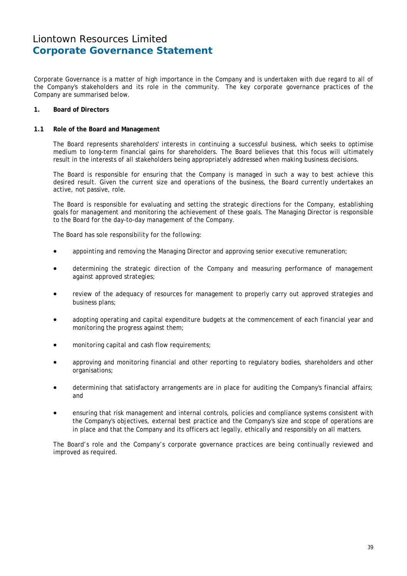Corporate Governance is a matter of high importance in the Company and is undertaken with due regard to all of the Company's stakeholders and its role in the community. The key corporate governance practices of the Company are summarised below.

### **1. Board of Directors**

### **1.1 Role of the Board and Management**

 The Board represents shareholders' interests in continuing a successful business, which seeks to optimise medium to long-term financial gains for shareholders. The Board believes that this focus will ultimately result in the interests of all stakeholders being appropriately addressed when making business decisions.

 The Board is responsible for ensuring that the Company is managed in such a way to best achieve this desired result. Given the current size and operations of the business, the Board currently undertakes an active, not passive, role.

 The Board is responsible for evaluating and setting the strategic directions for the Company, establishing goals for management and monitoring the achievement of these goals. The Managing Director is responsible to the Board for the day-to-day management of the Company.

The Board has sole responsibility for the following:

- appointing and removing the Managing Director and approving senior executive remuneration;
- determining the strategic direction of the Company and measuring performance of management against approved strategies;
- review of the adequacy of resources for management to properly carry out approved strategies and business plans;
- adopting operating and capital expenditure budgets at the commencement of each financial year and monitoring the progress against them;
- monitoring capital and cash flow requirements;
- approving and monitoring financial and other reporting to regulatory bodies, shareholders and other organisations;
- determining that satisfactory arrangements are in place for auditing the Company's financial affairs; and
- ensuring that risk management and internal controls, policies and compliance systems consistent with the Company's objectives, external best practice and the Company's size and scope of operations are in place and that the Company and its officers act legally, ethically and responsibly on all matters.

 The Board's role and the Company's corporate governance practices are being continually reviewed and improved as required.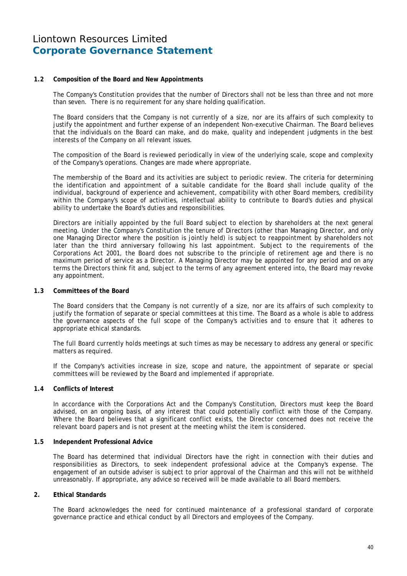### **1.2 Composition of the Board and New Appointments**

The Company's Constitution provides that the number of Directors shall not be less than three and not more than seven. There is no requirement for any share holding qualification.

 The Board considers that the Company is not currently of a size, nor are its affairs of such complexity to justify the appointment and further expense of an independent Non-executive Chairman. The Board believes that the individuals on the Board can make, and do make, quality and independent judgments in the best interests of the Company on all relevant issues.

 The composition of the Board is reviewed periodically in view of the underlying scale, scope and complexity of the Company's operations. Changes are made where appropriate.

 The membership of the Board and its activities are subject to periodic review. The criteria for determining the identification and appointment of a suitable candidate for the Board shall include quality of the individual, background of experience and achievement, compatibility with other Board members, credibility within the Company's scope of activities, intellectual ability to contribute to Board's duties and physical ability to undertake the Board's duties and responsibilities.

 Directors are initially appointed by the full Board subject to election by shareholders at the next general meeting. Under the Company's Constitution the tenure of Directors (other than Managing Director, and only one Managing Director where the position is jointly held) is subject to reappointment by shareholders not later than the third anniversary following his last appointment. Subject to the requirements of the Corporations Act 2001, the Board does not subscribe to the principle of retirement age and there is no maximum period of service as a Director. A Managing Director may be appointed for any period and on any terms the Directors think fit and, subject to the terms of any agreement entered into, the Board may revoke any appointment.

#### **1.3 Committees of the Board**

 The Board considers that the Company is not currently of a size, nor are its affairs of such complexity to justify the formation of separate or special committees at this time. The Board as a whole is able to address the governance aspects of the full scope of the Company's activities and to ensure that it adheres to appropriate ethical standards.

 The full Board currently holds meetings at such times as may be necessary to address any general or specific matters as required.

 If the Company's activities increase in size, scope and nature, the appointment of separate or special committees will be reviewed by the Board and implemented if appropriate.

### **1.4 Conflicts of Interest**

 In accordance with the Corporations Act and the Company's Constitution, Directors must keep the Board advised, on an ongoing basis, of any interest that could potentially conflict with those of the Company. Where the Board believes that a significant conflict exists, the Director concerned does not receive the relevant board papers and is not present at the meeting whilst the item is considered.

#### **1.5 Independent Professional Advice**

 The Board has determined that individual Directors have the right in connection with their duties and responsibilities as Directors, to seek independent professional advice at the Company's expense. The engagement of an outside adviser is subject to prior approval of the Chairman and this will not be withheld unreasonably. If appropriate, any advice so received will be made available to all Board members.

### **2. Ethical Standards**

The Board acknowledges the need for continued maintenance of a professional standard of corporate governance practice and ethical conduct by all Directors and employees of the Company.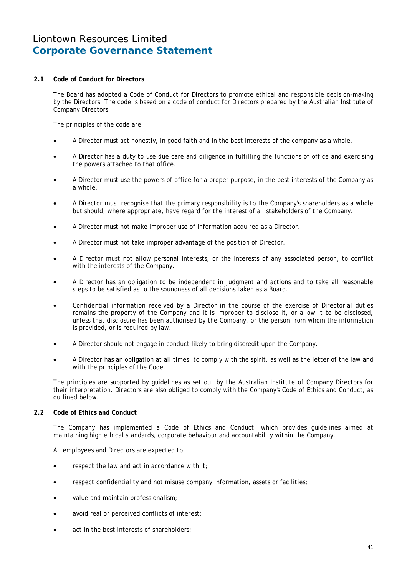### **2.1 Code of Conduct for Directors**

 The Board has adopted a Code of Conduct for Directors to promote ethical and responsible decision-making by the Directors. The code is based on a code of conduct for Directors prepared by the Australian Institute of Company Directors.

The principles of the code are:

- A Director must act honestly, in good faith and in the best interests of the company as a whole.
- A Director has a duty to use due care and diligence in fulfilling the functions of office and exercising the powers attached to that office.
- A Director must use the powers of office for a proper purpose, in the best interests of the Company as a whole.
- A Director must recognise that the primary responsibility is to the Company's shareholders as a whole but should, where appropriate, have regard for the interest of all stakeholders of the Company.
- A Director must not make improper use of information acquired as a Director.
- A Director must not take improper advantage of the position of Director.
- A Director must not allow personal interests, or the interests of any associated person, to conflict with the interests of the Company.
- A Director has an obligation to be independent in judgment and actions and to take all reasonable steps to be satisfied as to the soundness of all decisions taken as a Board.
- Confidential information received by a Director in the course of the exercise of Directorial duties remains the property of the Company and it is improper to disclose it, or allow it to be disclosed, unless that disclosure has been authorised by the Company, or the person from whom the information is provided, or is required by law.
- A Director should not engage in conduct likely to bring discredit upon the Company.
- A Director has an obligation at all times, to comply with the spirit, as well as the letter of the law and with the principles of the Code.

 The principles are supported by guidelines as set out by the Australian Institute of Company Directors for their interpretation. Directors are also obliged to comply with the Company's Code of Ethics and Conduct, as outlined below.

### **2.2 Code of Ethics and Conduct**

 The Company has implemented a Code of Ethics and Conduct, which provides guidelines aimed at maintaining high ethical standards, corporate behaviour and accountability within the Company.

All employees and Directors are expected to:

- respect the law and act in accordance with it;
- respect confidentiality and not misuse company information, assets or facilities;
- value and maintain professionalism;
- avoid real or perceived conflicts of interest;
- act in the best interests of shareholders: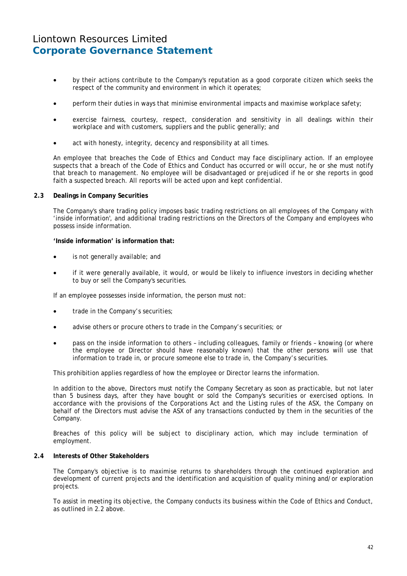- by their actions contribute to the Company's reputation as a good corporate citizen which seeks the respect of the community and environment in which it operates;
- perform their duties in ways that minimise environmental impacts and maximise workplace safety;
- exercise fairness, courtesy, respect, consideration and sensitivity in all dealings within their workplace and with customers, suppliers and the public generally; and
- act with honesty, integrity, decency and responsibility at all times.

 An employee that breaches the Code of Ethics and Conduct may face disciplinary action. If an employee suspects that a breach of the Code of Ethics and Conduct has occurred or will occur, he or she must notify that breach to management. No employee will be disadvantaged or prejudiced if he or she reports in good faith a suspected breach. All reports will be acted upon and kept confidential.

#### **2.3 Dealings in Company Securities**

 The Company's share trading policy imposes basic trading restrictions on all employees of the Company with 'inside information', and additional trading restrictions on the Directors of the Company and employees who possess inside information.

#### **'Inside information' is information that:**

- is not generally available; and
- if it were generally available, it would, or would be likely to influence investors in deciding whether to buy or sell the Company's securities.

If an employee possesses inside information, the person must not:

- trade in the Company's securities:
- advise others or procure others to trade in the Company's securities; or
- pass on the inside information to others including colleagues, family or friends knowing (or where the employee or Director should have reasonably known) that the other persons will use that information to trade in, or procure someone else to trade in, the Company's securities.

This prohibition applies regardless of how the employee or Director learns the information.

 In addition to the above, Directors must notify the Company Secretary as soon as practicable, but not later than 5 business days, after they have bought or sold the Company's securities or exercised options. In accordance with the provisions of the Corporations Act and the Listing rules of the ASX, the Company on behalf of the Directors must advise the ASX of any transactions conducted by them in the securities of the Company.

Breaches of this policy will be subject to disciplinary action, which may include termination of employment.

#### **2.4 Interests of Other Stakeholders**

 The Company's objective is to maximise returns to shareholders through the continued exploration and development of current projects and the identification and acquisition of quality mining and/or exploration projects.

 To assist in meeting its objective, the Company conducts its business within the Code of Ethics and Conduct, as outlined in 2.2 above.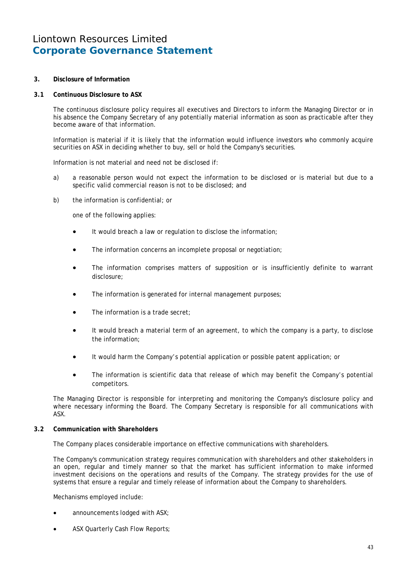**3. Disclosure of Information** 

### **3.1 Continuous Disclosure to ASX**

The continuous disclosure policy requires all executives and Directors to inform the Managing Director or in his absence the Company Secretary of any potentially material information as soon as practicable after they become aware of that information.

 Information is material if it is likely that the information would influence investors who commonly acquire securities on ASX in deciding whether to buy, sell or hold the Company's securities.

Information is not material and need not be disclosed if:

- a) a reasonable person would not expect the information to be disclosed or is material but due to a specific valid commercial reason is not to be disclosed; and
- b) the information is confidential; or

one of the following applies:

- It would breach a law or regulation to disclose the information;
- The information concerns an incomplete proposal or negotiation:
- The information comprises matters of supposition or is insufficiently definite to warrant disclosure;
- The information is generated for internal management purposes;
- The information is a trade secret:
- It would breach a material term of an agreement, to which the company is a party, to disclose the information;
- It would harm the Company's potential application or possible patent application; or
- The information is scientific data that release of which may benefit the Company's potential competitors.

 The Managing Director is responsible for interpreting and monitoring the Company's disclosure policy and where necessary informing the Board. The Company Secretary is responsible for all communications with ASX.

### **3.2 Communication with Shareholders**

The Company places considerable importance on effective communications with shareholders.

 The Company's communication strategy requires communication with shareholders and other stakeholders in an open, regular and timely manner so that the market has sufficient information to make informed investment decisions on the operations and results of the Company. The strategy provides for the use of systems that ensure a regular and timely release of information about the Company to shareholders.

Mechanisms employed include:

- announcements lodged with ASX;
- ASX Quarterly Cash Flow Reports;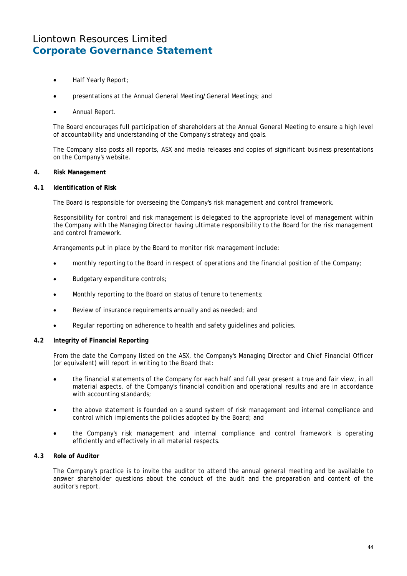- Half Yearly Report;
- presentations at the Annual General Meeting/General Meetings; and
- Annual Report.

 The Board encourages full participation of shareholders at the Annual General Meeting to ensure a high level of accountability and understanding of the Company's strategy and goals.

 The Company also posts all reports, ASX and media releases and copies of significant business presentations on the Company's website.

### **4. Risk Management**

#### **4.1 Identification of Risk**

The Board is responsible for overseeing the Company's risk management and control framework.

 Responsibility for control and risk management is delegated to the appropriate level of management within the Company with the Managing Director having ultimate responsibility to the Board for the risk management and control framework.

Arrangements put in place by the Board to monitor risk management include:

- monthly reporting to the Board in respect of operations and the financial position of the Company;
- Budgetary expenditure controls;
- Monthly reporting to the Board on status of tenure to tenements;
- Review of insurance requirements annually and as needed; and
- Regular reporting on adherence to health and safety guidelines and policies.

### **4.2 Integrity of Financial Reporting**

 From the date the Company listed on the ASX, the Company's Managing Director and Chief Financial Officer (or equivalent) will report in writing to the Board that:

- the financial statements of the Company for each half and full year present a true and fair view, in all material aspects, of the Company's financial condition and operational results and are in accordance with accounting standards;
- the above statement is founded on a sound system of risk management and internal compliance and control which implements the policies adopted by the Board; and
- the Company's risk management and internal compliance and control framework is operating efficiently and effectively in all material respects.

### **4.3 Role of Auditor**

 The Company's practice is to invite the auditor to attend the annual general meeting and be available to answer shareholder questions about the conduct of the audit and the preparation and content of the auditor's report.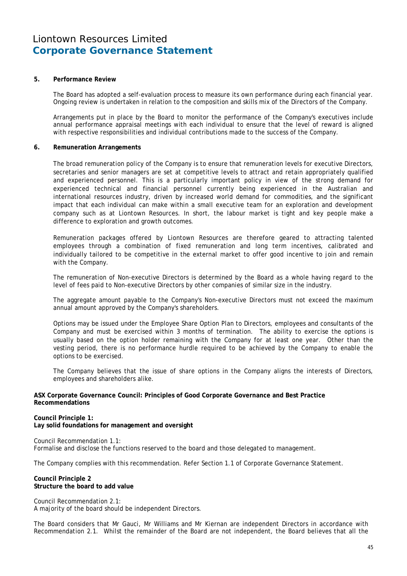#### **5. Performance Review**

 The Board has adopted a self-evaluation process to measure its own performance during each financial year. Ongoing review is undertaken in relation to the composition and skills mix of the Directors of the Company.

 Arrangements put in place by the Board to monitor the performance of the Company's executives include annual performance appraisal meetings with each individual to ensure that the level of reward is aligned with respective responsibilities and individual contributions made to the success of the Company.

#### **6. Remuneration Arrangements**

The broad remuneration policy of the Company is to ensure that remuneration levels for executive Directors, secretaries and senior managers are set at competitive levels to attract and retain appropriately qualified and experienced personnel. This is a particularly important policy in view of the strong demand for experienced technical and financial personnel currently being experienced in the Australian and international resources industry, driven by increased world demand for commodities, and the significant impact that each individual can make within a small executive team for an exploration and development company such as at Liontown Resources. In short, the labour market is tight and key people make a difference to exploration and growth outcomes.

Remuneration packages offered by Liontown Resources are therefore geared to attracting talented employees through a combination of fixed remuneration and long term incentives, calibrated and individually tailored to be competitive in the external market to offer good incentive to join and remain with the Company.

 The remuneration of Non-executive Directors is determined by the Board as a whole having regard to the level of fees paid to Non-executive Directors by other companies of similar size in the industry.

 The aggregate amount payable to the Company's Non-executive Directors must not exceed the maximum annual amount approved by the Company's shareholders.

Options may be issued under the Employee Share Option Plan to Directors, employees and consultants of the Company and must be exercised within 3 months of termination. The ability to exercise the options is usually based on the option holder remaining with the Company for at least one year. Other than the vesting period, there is no performance hurdle required to be achieved by the Company to enable the options to be exercised.

The Company believes that the issue of share options in the Company aligns the interests of Directors, employees and shareholders alike.

#### **ASX Corporate Governance Council: Principles of Good Corporate Governance and Best Practice Recommendations**

### **Council Principle 1:**

**Lay solid foundations for management and oversight** 

Council Recommendation 1.1: Formalise and disclose the functions reserved to the board and those delegated to management.

The Company complies with this recommendation. Refer Section 1.1 of Corporate Governance Statement.

### **Council Principle 2 Structure the board to add value**

Council Recommendation 2.1: A majority of the board should be independent Directors.

The Board considers that Mr Gauci, Mr Williams and Mr Kiernan are independent Directors in accordance with Recommendation 2.1. Whilst the remainder of the Board are not independent, the Board believes that all the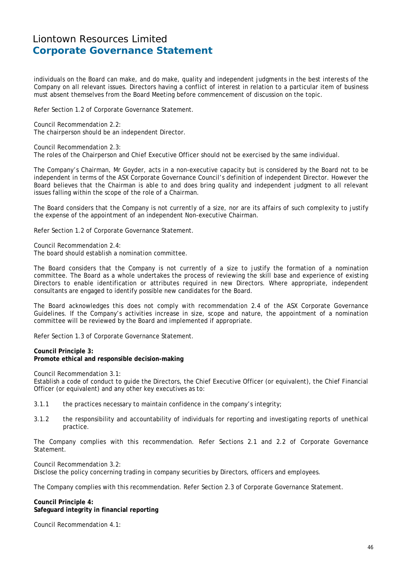individuals on the Board can make, and do make, quality and independent judgments in the best interests of the Company on all relevant issues. Directors having a conflict of interest in relation to a particular item of business must absent themselves from the Board Meeting before commencement of discussion on the topic.

Refer Section 1.2 of Corporate Governance Statement.

Council Recommendation 2.2: The chairperson should be an independent Director.

Council Recommendation 2.3: The roles of the Chairperson and Chief Executive Officer should not be exercised by the same individual.

The Company's Chairman, Mr Goyder, acts in a non-executive capacity but is considered by the Board not to be independent in terms of the ASX Corporate Governance Council's definition of independent Director. However the Board believes that the Chairman is able to and does bring quality and independent judgment to all relevant issues falling within the scope of the role of a Chairman.

The Board considers that the Company is not currently of a size, nor are its affairs of such complexity to justify the expense of the appointment of an independent Non-executive Chairman.

Refer Section 1.2 of Corporate Governance Statement.

Council Recommendation 2.4: The board should establish a nomination committee.

The Board considers that the Company is not currently of a size to justify the formation of a nomination committee. The Board as a whole undertakes the process of reviewing the skill base and experience of existing Directors to enable identification or attributes required in new Directors. Where appropriate, independent consultants are engaged to identify possible new candidates for the Board.

The Board acknowledges this does not comply with recommendation 2.4 of the ASX Corporate Governance Guidelines. If the Company's activities increase in size, scope and nature, the appointment of a nomination committee will be reviewed by the Board and implemented if appropriate.

Refer Section 1.3 of Corporate Governance Statement.

**Council Principle 3: Promote ethical and responsible decision-making** 

Council Recommendation 3.1:

Establish a code of conduct to guide the Directors, the Chief Executive Officer (or equivalent), the Chief Financial Officer (or equivalent) and any other key executives as to:

3.1.1 the practices necessary to maintain confidence in the company's integrity;

3.1.2 the responsibility and accountability of individuals for reporting and investigating reports of unethical practice.

The Company complies with this recommendation. Refer Sections 2.1 and 2.2 of Corporate Governance Statement.

Council Recommendation 3.2:

Disclose the policy concerning trading in company securities by Directors, officers and employees.

The Company complies with this recommendation. Refer Section 2.3 of Corporate Governance Statement.

**Council Principle 4: Safeguard integrity in financial reporting** 

Council Recommendation 4.1: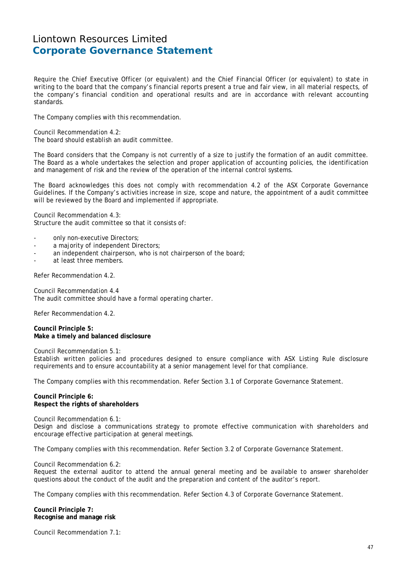Require the Chief Executive Officer (or equivalent) and the Chief Financial Officer (or equivalent) to state in writing to the board that the company's financial reports present a true and fair view, in all material respects, of the company's financial condition and operational results and are in accordance with relevant accounting standards.

The Company complies with this recommendation.

Council Recommendation 4.2: The board should establish an audit committee.

The Board considers that the Company is not currently of a size to justify the formation of an audit committee. The Board as a whole undertakes the selection and proper application of accounting policies, the identification and management of risk and the review of the operation of the internal control systems.

The Board acknowledges this does not comply with recommendation 4.2 of the ASX Corporate Governance Guidelines. If the Company's activities increase in size, scope and nature, the appointment of a audit committee will be reviewed by the Board and implemented if appropriate.

Council Recommendation 4.3: Structure the audit committee so that it consists of:

- only non-executive Directors;
- a majority of independent Directors;
- an independent chairperson, who is not chairperson of the board;
- at least three members.

Refer Recommendation 4.2.

Council Recommendation 4.4 The audit committee should have a formal operating charter.

Refer Recommendation 4.2.

**Council Principle 5: Make a timely and balanced disclosure** 

Council Recommendation 5.1: Establish written policies and procedures designed to ensure compliance with ASX Listing Rule disclosure requirements and to ensure accountability at a senior management level for that compliance.

The Company complies with this recommendation. Refer Section 3.1 of Corporate Governance Statement.

**Council Principle 6: Respect the rights of shareholders** 

Council Recommendation 6.1: Design and disclose a communications strategy to promote effective communication with shareholders and encourage effective participation at general meetings.

The Company complies with this recommendation. Refer Section 3.2 of Corporate Governance Statement.

Council Recommendation 6.2:

Request the external auditor to attend the annual general meeting and be available to answer shareholder questions about the conduct of the audit and the preparation and content of the auditor's report.

The Company complies with this recommendation. Refer Section 4.3 of Corporate Governance Statement.

**Council Principle 7: Recognise and manage risk** 

Council Recommendation 7.1: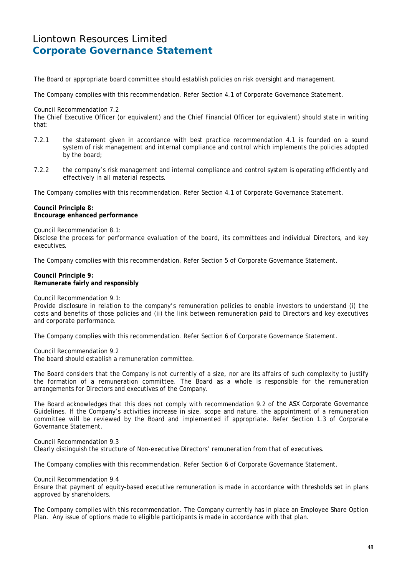The Board or appropriate board committee should establish policies on risk oversight and management.

The Company complies with this recommendation. Refer Section 4.1 of Corporate Governance Statement.

#### Council Recommendation 7.2

The Chief Executive Officer (or equivalent) and the Chief Financial Officer (or equivalent) should state in writing that:

- 7.2.1 the statement given in accordance with best practice recommendation 4.1 is founded on a sound system of risk management and internal compliance and control which implements the policies adopted by the board;
- 7.2.2 the company's risk management and internal compliance and control system is operating efficiently and effectively in all material respects.

The Company complies with this recommendation. Refer Section 4.1 of Corporate Governance Statement.

#### **Council Principle 8: Encourage enhanced performance**

Council Recommendation 8.1:

Disclose the process for performance evaluation of the board, its committees and individual Directors, and key executives.

The Company complies with this recommendation. Refer Section 5 of Corporate Governance Statement.

#### **Council Principle 9: Remunerate fairly and responsibly**

Council Recommendation 9.1:

Provide disclosure in relation to the company's remuneration policies to enable investors to understand (i) the costs and benefits of those policies and (ii) the link between remuneration paid to Directors and key executives and corporate performance.

The Company complies with this recommendation. Refer Section 6 of Corporate Governance Statement.

Council Recommendation 9.2 The board should establish a remuneration committee.

The Board considers that the Company is not currently of a size, nor are its affairs of such complexity to justify the formation of a remuneration committee. The Board as a whole is responsible for the remuneration arrangements for Directors and executives of the Company.

The Board acknowledges that this does not comply with recommendation 9.2 of the ASX Corporate Governance Guidelines. If the Company's activities increase in size, scope and nature, the appointment of a remuneration committee will be reviewed by the Board and implemented if appropriate. Refer Section 1.3 of Corporate Governance Statement.

Council Recommendation 9.3 Clearly distinguish the structure of Non-executive Directors' remuneration from that of executives.

The Company complies with this recommendation. Refer Section 6 of Corporate Governance Statement.

Council Recommendation 9.4

Ensure that payment of equity-based executive remuneration is made in accordance with thresholds set in plans approved by shareholders.

The Company complies with this recommendation. The Company currently has in place an Employee Share Option Plan. Any issue of options made to eligible participants is made in accordance with that plan.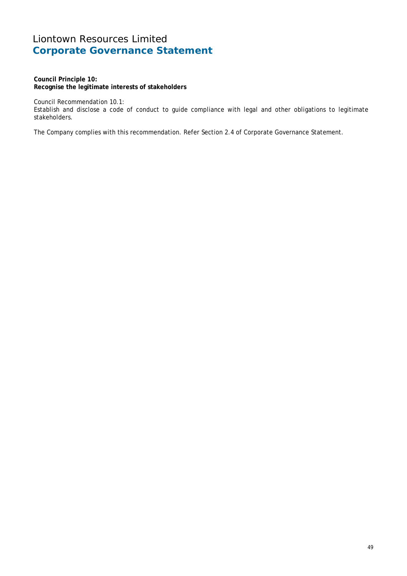**Council Principle 10: Recognise the legitimate interests of stakeholders** 

Council Recommendation 10.1:

Establish and disclose a code of conduct to guide compliance with legal and other obligations to legitimate stakeholders.

The Company complies with this recommendation. Refer Section 2.4 of Corporate Governance Statement.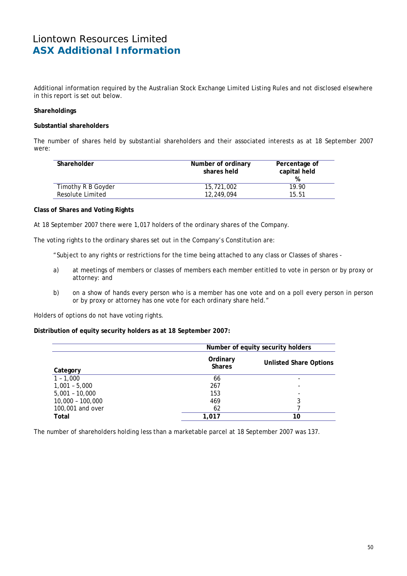# Liontown Resources Limited **ASX Additional Information**

Additional information required by the Australian Stock Exchange Limited Listing Rules and not disclosed elsewhere in this report is set out below.

### **Shareholdings**

### **Substantial shareholders**

The number of shares held by substantial shareholders and their associated interests as at 18 September 2007 were:

| Shareholder        | Number of ordinary<br>shares held | Percentage of<br>capital held<br>% |
|--------------------|-----------------------------------|------------------------------------|
| Timothy R B Goyder | 15,721,002                        | 19.90                              |
| Resolute Limited   | 12,249,094                        | 15.51                              |

#### **Class of Shares and Voting Rights**

At 18 September 2007 there were 1,017 holders of the ordinary shares of the Company.

The voting rights to the ordinary shares set out in the Company's Constitution are:

"Subject to any rights or restrictions for the time being attached to any class or Classes of shares -

- a) at meetings of members or classes of members each member entitled to vote in person or by proxy or attorney: and
- b) on a show of hands every person who is a member has one vote and on a poll every person in person or by proxy or attorney has one vote for each ordinary share held."

Holders of options do not have voting rights.

#### **Distribution of equity security holders as at 18 September 2007:**

|                    |                           | Number of equity security holders |  |  |
|--------------------|---------------------------|-----------------------------------|--|--|
| Category           | Ordinary<br><b>Shares</b> | <b>Unlisted Share Options</b>     |  |  |
| $1 - 1,000$        | 66                        |                                   |  |  |
| $1,001 - 5,000$    | 267                       |                                   |  |  |
| $5,001 - 10,000$   | 153                       |                                   |  |  |
| $10,000 - 100,000$ | 469                       | 3                                 |  |  |
| 100,001 and over   | 62                        |                                   |  |  |
| Total              | 1.017                     | 10                                |  |  |

The number of shareholders holding less than a marketable parcel at 18 September 2007 was 137.